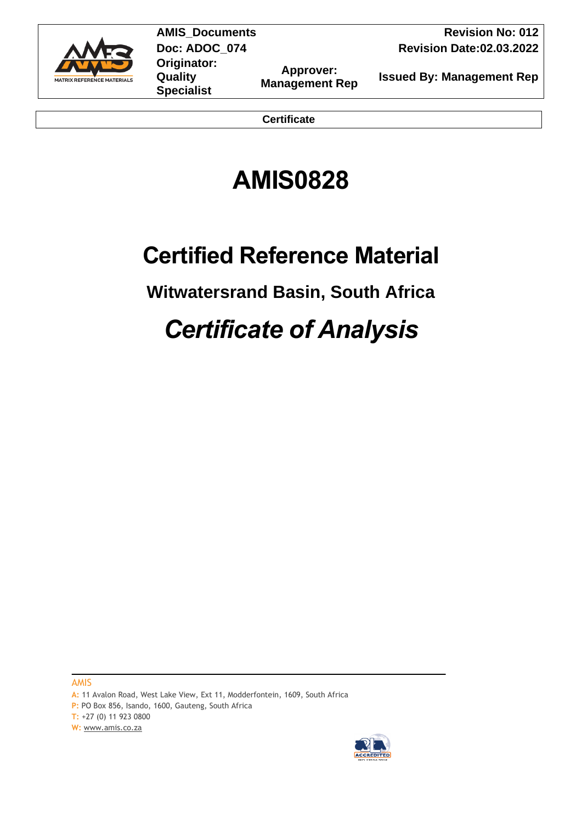

**Originator: Quality Specialist**

**Approver:** 

**AMIS** Documents **Revision No: 012 Doc: ADOC\_074 Revision Date:02.03.2022** 

**Management Rep Issued By: Management Rep** 

**Certificate**

# **AMIS0828**

# **Certified Reference Material**

# **Witwatersrand Basin, South Africa**

# *Certificate of Analysis*

AMIS

**A:** 11 Avalon Road, West Lake View, Ext 11, Modderfontein, 1609, South Africa

P: PO Box 856, Isando, 1600, Gauteng, South Africa

**T:** +27 (0) 11 923 0800

**W:** [www.amis.co.za](http://www.amis.co.za/)

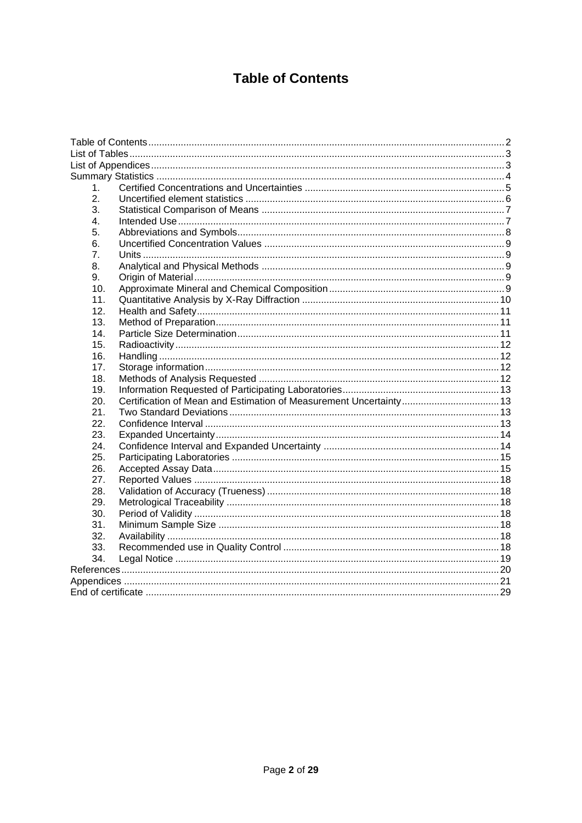# **Table of Contents**

<span id="page-1-0"></span>

| 1.  |                                                                    |  |
|-----|--------------------------------------------------------------------|--|
| 2.  |                                                                    |  |
| 3.  |                                                                    |  |
| 4.  |                                                                    |  |
| 5.  |                                                                    |  |
| 6.  |                                                                    |  |
| 7.  |                                                                    |  |
| 8.  |                                                                    |  |
| 9.  |                                                                    |  |
| 10. |                                                                    |  |
| 11. |                                                                    |  |
| 12. |                                                                    |  |
| 13. |                                                                    |  |
| 14. |                                                                    |  |
| 15. |                                                                    |  |
| 16. |                                                                    |  |
| 17. |                                                                    |  |
| 18. |                                                                    |  |
| 19. |                                                                    |  |
| 20. | Certification of Mean and Estimation of Measurement Uncertainty 13 |  |
| 21. |                                                                    |  |
| 22. |                                                                    |  |
| 23. |                                                                    |  |
| 24. |                                                                    |  |
| 25. |                                                                    |  |
| 26. |                                                                    |  |
| 27. |                                                                    |  |
| 28. |                                                                    |  |
| 29. |                                                                    |  |
| 30. |                                                                    |  |
| 31. |                                                                    |  |
| 32. |                                                                    |  |
| 33. |                                                                    |  |
| 34. |                                                                    |  |
|     |                                                                    |  |
|     |                                                                    |  |
|     |                                                                    |  |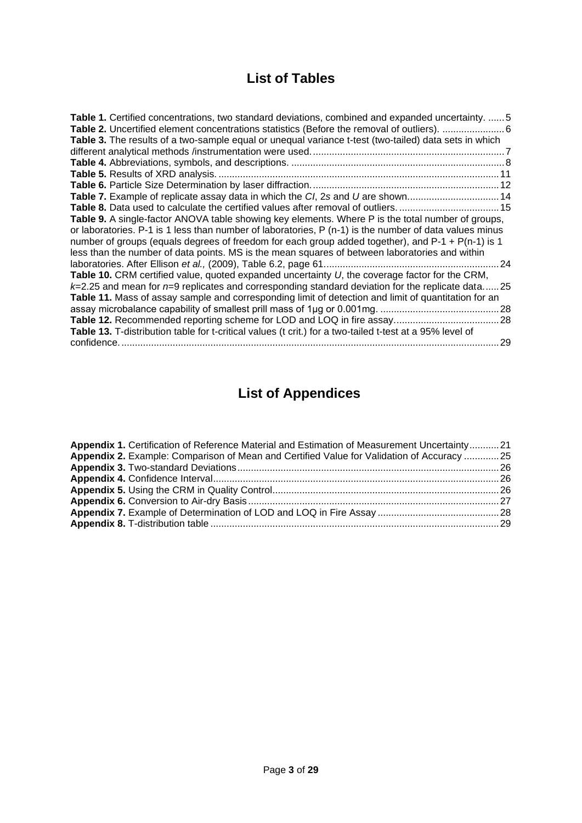# **List of Tables**

<span id="page-2-0"></span>

| Table 1. Certified concentrations, two standard deviations, combined and expanded uncertainty.  5        |  |
|----------------------------------------------------------------------------------------------------------|--|
| Table 3. The results of a two-sample equal or unequal variance t-test (two-tailed) data sets in which    |  |
|                                                                                                          |  |
|                                                                                                          |  |
|                                                                                                          |  |
|                                                                                                          |  |
| Table 7. Example of replicate assay data in which the CI, 2s and U are shown 14                          |  |
|                                                                                                          |  |
| Table 9. A single-factor ANOVA table showing key elements. Where P is the total number of groups,        |  |
| or laboratories. P-1 is 1 less than number of laboratories, P (n-1) is the number of data values minus   |  |
| number of groups (equals degrees of freedom for each group added together), and P-1 + P(n-1) is 1        |  |
| less than the number of data points. MS is the mean squares of between laboratories and within           |  |
|                                                                                                          |  |
| Table 10. CRM certified value, quoted expanded uncertainty $U$ , the coverage factor for the CRM,        |  |
| $k=2.25$ and mean for $n=9$ replicates and corresponding standard deviation for the replicate data25     |  |
| Table 11. Mass of assay sample and corresponding limit of detection and limit of quantitation for an     |  |
|                                                                                                          |  |
|                                                                                                          |  |
| Table 13. T-distribution table for t-critical values (t crit.) for a two-tailed t-test at a 95% level of |  |
|                                                                                                          |  |
|                                                                                                          |  |

# <span id="page-2-1"></span>**List of Appendices**

| Appendix 1. Certification of Reference Material and Estimation of Measurement Uncertainty21 |  |
|---------------------------------------------------------------------------------------------|--|
| Appendix 2. Example: Comparison of Mean and Certified Value for Validation of Accuracy  25  |  |
|                                                                                             |  |
|                                                                                             |  |
|                                                                                             |  |
|                                                                                             |  |
|                                                                                             |  |
|                                                                                             |  |
|                                                                                             |  |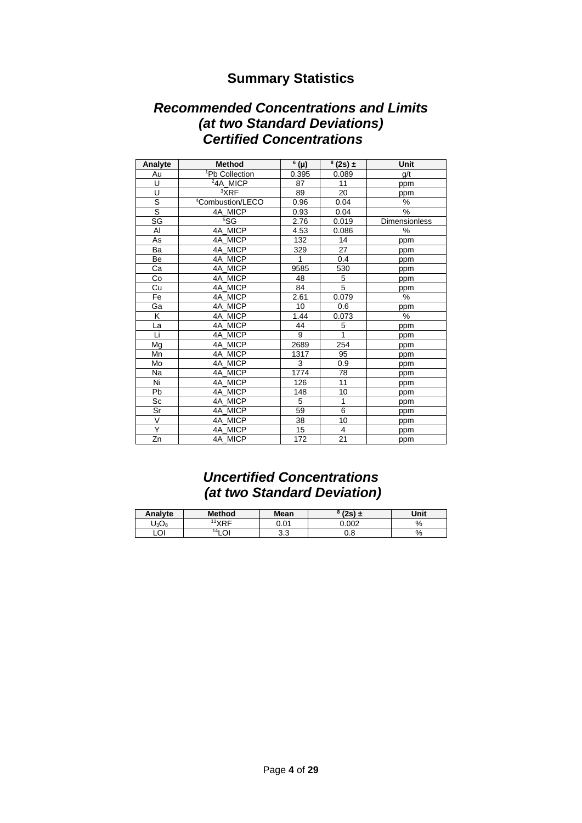## **Summary Statistics**

## <span id="page-3-0"></span>*Recommended Concentrations and Limits (at two Standard Deviations) Certified Concentrations*

| Analyte | <b>Method</b>                | $6(\mu)$ | $\frac{8(2s)}{1}$ | Unit                 |
|---------|------------------------------|----------|-------------------|----------------------|
| Au      | <sup>1</sup> Pb Collection   | 0.395    | 0.089             | g/t                  |
| U       | <sup>2</sup> 4A MICP         | 87       | 11                | ppm                  |
| U       | 3XRF                         | 89       | 20                | ppm                  |
| S       | <sup>4</sup> Combustion/LECO | 0.96     | 0.04              | %                    |
| S       | 4A MICP                      | 0.93     | 0.04              | %                    |
| SG      | 55G                          | 2.76     | 0.019             | <b>Dimensionless</b> |
| AI      | 4A_MICP                      | 4.53     | 0.086             | %                    |
| As      | 4A MICP                      | 132      | 14                | ppm                  |
| Ba      | 4A MICP                      | 329      | 27                | ppm                  |
| Be      | 4A MICP                      | 1        | 0.4               | ppm                  |
| Ca      | 4A MICP                      | 9585     | 530               | ppm                  |
| Co      | 4A MICP                      | 48       | 5                 | ppm                  |
| Cu      | 4A MICP                      | 84       | 5                 | ppm                  |
| Fe      | 4A MICP                      | 2.61     | 0.079             | %                    |
| Ga      | 4A MICP                      | 10       | 0.6               | ppm                  |
| K       | 4A MICP                      | 1.44     | 0.073             | %                    |
| La      | 4A MICP                      | 44       | 5                 | ppm                  |
| Li      | 4A MICP                      | 9        | $\mathbf{1}$      | ppm                  |
| Mg      | 4A MICP                      | 2689     | 254               | ppm                  |
| Mn      | 4A MICP                      | 1317     | 95                | ppm                  |
| Mo      | 4A MICP                      | 3        | 0.9               | ppm                  |
| Na      | 4A MICP                      | 1774     | 78                | ppm                  |
| Ni      | 4A MICP                      | 126      | 11                | ppm                  |
| Pb      | 4A MICP                      | 148      | 10                | ppm                  |
| Sc      | 4A MICP                      | 5        | 1                 | ppm                  |
| Sr      | 4A MICP                      | 59       | 6                 | ppm                  |
| $\vee$  | 4A MICP                      | 38       | 10                | ppm                  |
| Ÿ       | 4A MICP                      | 15       | 4                 | ppm                  |
| Zn      | 4A MICP                      | 172      | 21                | ppm                  |

# *Uncertified Concentrations (at two Standard Deviation)*

| Analyte  | <b>Method</b>      | Mean      | $(2s) \pm$ | Unit |
|----------|--------------------|-----------|------------|------|
| $J_3O_8$ | 11 V D C           | 0.01      | 0.002      | %    |
| LOI      | 141<br>$\sim$<br>◡ | ົາ<br>ა.ა | 0.8        | %    |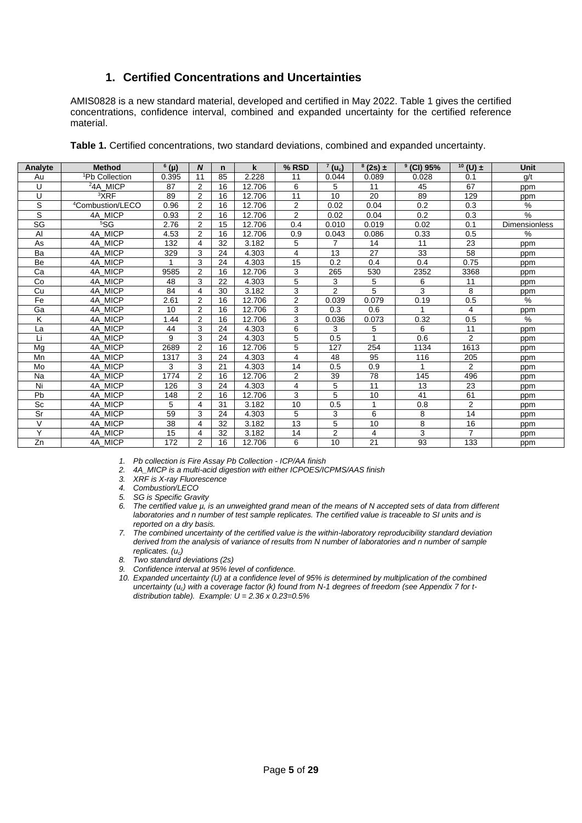## **1. Certified Concentrations and Uncertainties**

<span id="page-4-0"></span>AMIS0828 is a new standard material, developed and certified in May 2022. [Table 1](#page-4-1) gives the certified concentrations, confidence interval, combined and expanded uncertainty for the certified reference material.

| <sup>1</sup> Pb Collection<br>11<br>0.395<br>85<br>2.228<br>11<br>0.044<br>0.089<br>0.028<br>0.1<br>q/t<br>Au<br><sup>2</sup> 4A MICP<br>2<br>U<br>16<br>6<br>5<br>87<br>12.706<br>67<br>11<br>45<br>ppm<br><sup>3</sup> XRF<br>U<br>$\overline{2}$<br>11<br>89<br>16<br>10<br>20<br>89<br>12.706<br>129<br>ppm<br>S<br>$\overline{2}$<br>$\overline{2}$<br>%<br><sup>4</sup> Combustion/LECO<br>16<br>0.2<br>0.96<br>12.706<br>0.02<br>0.04<br>0.3<br>S<br>$\%$<br>4A MICP<br>2<br>16<br>$\overline{2}$<br>0.2<br>12.706<br>0.02<br>0.04<br>0.3<br>0.93<br>$\overline{\text{SG}}$<br>55G<br>$\overline{2}$<br><b>Dimensionless</b><br>2.76<br>15<br>12.706<br>0.4<br>0.010<br>0.02<br>0.1<br>0.019<br>$\%$<br>Al<br>4A MICP<br>$\overline{2}$<br>4.53<br>16<br>12.706<br>0.9<br>0.043<br>0.086<br>0.33<br>0.5<br>32<br>5<br>$\overline{7}$<br>11<br>23<br>4A MICP<br>132<br>3.182<br>14<br>As<br>4<br>ppm<br>3<br>27<br>33<br>58<br>Ba<br>4A MICP<br>329<br>24<br>4.303<br>4<br>13<br>ppm<br>4A MICP<br>3<br>15<br>0.2<br>0.75<br>Be<br>24<br>4.303<br>0.4<br>0.4<br>ppm<br>3<br>Ca<br>4A MICP<br>9585<br>2<br>16<br>12.706<br>265<br>2352<br>3368<br>530<br>ppm<br>5<br>3<br>22<br>3<br>5<br>6<br>Co<br>4A MICP<br>48<br>4.303<br>11<br>ppm<br>$\overline{2}$<br>5<br>3<br>3<br>8<br>84<br>Cu<br>4A MICP<br>4<br>30<br>3.182<br>ppm<br>$\overline{2}$<br>$\%$<br>Fe<br>4A_MICP<br>2<br>0.19<br>0.5<br>2.61<br>16<br>12.706<br>0.039<br>0.079<br>2<br>3<br>16<br>Ga<br>4A MICP<br>10<br>12.706<br>0.3<br>0.6<br>4<br>ppm<br>%<br>Κ<br>3<br>4A MICP<br>2<br>16<br>0.5<br>1.44<br>12.706<br>0.036<br>0.073<br>0.32<br>3<br>6<br>3<br>5<br>6<br>4A MICP<br>24<br>11<br>44<br>4.303<br>La<br>ppm<br>Li<br>4A MICP<br>5<br>$\overline{2}$<br>9<br>3<br>0.5<br>0.6<br>24<br>4.303<br>ppm<br>2<br>5<br>Mg<br>4A MICP<br>2689<br>16<br>12.706<br>127<br>254<br>1613<br>1134<br>ppm<br>Mn<br>3<br>4A MICP<br>24<br>4<br>48<br>95<br>116<br>205<br>1317<br>4.303<br>ppm<br>$\overline{2}$<br>3<br>3<br>0.5<br>Mo<br>4A MICP<br>21<br>4.303<br>14<br>0.9<br>ppm<br>4A MICP<br>$\overline{2}$<br>39<br>78<br>145<br><b>Na</b><br>1774<br>2<br>16<br>12.706<br>496<br>ppm<br>5<br>Ni<br>4A MICP<br>3<br>11<br>13<br>23<br>126<br>24<br>4.303<br>4<br>ppm<br>5<br>3<br>41<br>2<br>61<br>Pb<br>4A MICP<br>16<br>12.706<br>10<br>148<br>ppm<br>2<br>Sc<br>10<br>4A MICP<br>5<br>31<br>3.182<br>0.5<br>0.8<br>4<br>1<br>ppm<br>3<br>Sr<br>59<br>3<br>5<br>6<br>8<br>14<br>4A MICP<br>24<br>4.303<br>ppm<br>V<br>8<br>4A MICP<br>5<br>38<br>32<br>3.182<br>13<br>10<br>16<br>4<br>ppm<br>Υ<br>$\overline{2}$<br>3<br>$\overline{7}$<br>4A_MICP<br>32<br>15<br>3.182<br>4<br>14<br>4<br>ppm<br>Zn<br>93<br>4A MICP<br>172<br>2<br>16<br>6<br>10<br>21<br>133<br>12.706<br>ppm | Analyte | <b>Method</b> | $6$ (µ) | N | n. | k | % RSD | $^7$ (u <sub>c</sub> ) | $^{8}$ (2s) $\pm$ | $9$ (CI) 95% | $10$ (U) $\pm$ | <b>Unit</b> |
|-------------------------------------------------------------------------------------------------------------------------------------------------------------------------------------------------------------------------------------------------------------------------------------------------------------------------------------------------------------------------------------------------------------------------------------------------------------------------------------------------------------------------------------------------------------------------------------------------------------------------------------------------------------------------------------------------------------------------------------------------------------------------------------------------------------------------------------------------------------------------------------------------------------------------------------------------------------------------------------------------------------------------------------------------------------------------------------------------------------------------------------------------------------------------------------------------------------------------------------------------------------------------------------------------------------------------------------------------------------------------------------------------------------------------------------------------------------------------------------------------------------------------------------------------------------------------------------------------------------------------------------------------------------------------------------------------------------------------------------------------------------------------------------------------------------------------------------------------------------------------------------------------------------------------------------------------------------------------------------------------------------------------------------------------------------------------------------------------------------------------------------------------------------------------------------------------------------------------------------------------------------------------------------------------------------------------------------------------------------------------------------------------------------------------------------------------------------------------------------------------------------------------------------------------------------------------------------------------------------------------------------------------------------------------------------------------------------------------------------------------------------|---------|---------------|---------|---|----|---|-------|------------------------|-------------------|--------------|----------------|-------------|
|                                                                                                                                                                                                                                                                                                                                                                                                                                                                                                                                                                                                                                                                                                                                                                                                                                                                                                                                                                                                                                                                                                                                                                                                                                                                                                                                                                                                                                                                                                                                                                                                                                                                                                                                                                                                                                                                                                                                                                                                                                                                                                                                                                                                                                                                                                                                                                                                                                                                                                                                                                                                                                                                                                                                                             |         |               |         |   |    |   |       |                        |                   |              |                |             |
|                                                                                                                                                                                                                                                                                                                                                                                                                                                                                                                                                                                                                                                                                                                                                                                                                                                                                                                                                                                                                                                                                                                                                                                                                                                                                                                                                                                                                                                                                                                                                                                                                                                                                                                                                                                                                                                                                                                                                                                                                                                                                                                                                                                                                                                                                                                                                                                                                                                                                                                                                                                                                                                                                                                                                             |         |               |         |   |    |   |       |                        |                   |              |                |             |
|                                                                                                                                                                                                                                                                                                                                                                                                                                                                                                                                                                                                                                                                                                                                                                                                                                                                                                                                                                                                                                                                                                                                                                                                                                                                                                                                                                                                                                                                                                                                                                                                                                                                                                                                                                                                                                                                                                                                                                                                                                                                                                                                                                                                                                                                                                                                                                                                                                                                                                                                                                                                                                                                                                                                                             |         |               |         |   |    |   |       |                        |                   |              |                |             |
|                                                                                                                                                                                                                                                                                                                                                                                                                                                                                                                                                                                                                                                                                                                                                                                                                                                                                                                                                                                                                                                                                                                                                                                                                                                                                                                                                                                                                                                                                                                                                                                                                                                                                                                                                                                                                                                                                                                                                                                                                                                                                                                                                                                                                                                                                                                                                                                                                                                                                                                                                                                                                                                                                                                                                             |         |               |         |   |    |   |       |                        |                   |              |                |             |
|                                                                                                                                                                                                                                                                                                                                                                                                                                                                                                                                                                                                                                                                                                                                                                                                                                                                                                                                                                                                                                                                                                                                                                                                                                                                                                                                                                                                                                                                                                                                                                                                                                                                                                                                                                                                                                                                                                                                                                                                                                                                                                                                                                                                                                                                                                                                                                                                                                                                                                                                                                                                                                                                                                                                                             |         |               |         |   |    |   |       |                        |                   |              |                |             |
|                                                                                                                                                                                                                                                                                                                                                                                                                                                                                                                                                                                                                                                                                                                                                                                                                                                                                                                                                                                                                                                                                                                                                                                                                                                                                                                                                                                                                                                                                                                                                                                                                                                                                                                                                                                                                                                                                                                                                                                                                                                                                                                                                                                                                                                                                                                                                                                                                                                                                                                                                                                                                                                                                                                                                             |         |               |         |   |    |   |       |                        |                   |              |                |             |
|                                                                                                                                                                                                                                                                                                                                                                                                                                                                                                                                                                                                                                                                                                                                                                                                                                                                                                                                                                                                                                                                                                                                                                                                                                                                                                                                                                                                                                                                                                                                                                                                                                                                                                                                                                                                                                                                                                                                                                                                                                                                                                                                                                                                                                                                                                                                                                                                                                                                                                                                                                                                                                                                                                                                                             |         |               |         |   |    |   |       |                        |                   |              |                |             |
|                                                                                                                                                                                                                                                                                                                                                                                                                                                                                                                                                                                                                                                                                                                                                                                                                                                                                                                                                                                                                                                                                                                                                                                                                                                                                                                                                                                                                                                                                                                                                                                                                                                                                                                                                                                                                                                                                                                                                                                                                                                                                                                                                                                                                                                                                                                                                                                                                                                                                                                                                                                                                                                                                                                                                             |         |               |         |   |    |   |       |                        |                   |              |                |             |
|                                                                                                                                                                                                                                                                                                                                                                                                                                                                                                                                                                                                                                                                                                                                                                                                                                                                                                                                                                                                                                                                                                                                                                                                                                                                                                                                                                                                                                                                                                                                                                                                                                                                                                                                                                                                                                                                                                                                                                                                                                                                                                                                                                                                                                                                                                                                                                                                                                                                                                                                                                                                                                                                                                                                                             |         |               |         |   |    |   |       |                        |                   |              |                |             |
|                                                                                                                                                                                                                                                                                                                                                                                                                                                                                                                                                                                                                                                                                                                                                                                                                                                                                                                                                                                                                                                                                                                                                                                                                                                                                                                                                                                                                                                                                                                                                                                                                                                                                                                                                                                                                                                                                                                                                                                                                                                                                                                                                                                                                                                                                                                                                                                                                                                                                                                                                                                                                                                                                                                                                             |         |               |         |   |    |   |       |                        |                   |              |                |             |
|                                                                                                                                                                                                                                                                                                                                                                                                                                                                                                                                                                                                                                                                                                                                                                                                                                                                                                                                                                                                                                                                                                                                                                                                                                                                                                                                                                                                                                                                                                                                                                                                                                                                                                                                                                                                                                                                                                                                                                                                                                                                                                                                                                                                                                                                                                                                                                                                                                                                                                                                                                                                                                                                                                                                                             |         |               |         |   |    |   |       |                        |                   |              |                |             |
|                                                                                                                                                                                                                                                                                                                                                                                                                                                                                                                                                                                                                                                                                                                                                                                                                                                                                                                                                                                                                                                                                                                                                                                                                                                                                                                                                                                                                                                                                                                                                                                                                                                                                                                                                                                                                                                                                                                                                                                                                                                                                                                                                                                                                                                                                                                                                                                                                                                                                                                                                                                                                                                                                                                                                             |         |               |         |   |    |   |       |                        |                   |              |                |             |
|                                                                                                                                                                                                                                                                                                                                                                                                                                                                                                                                                                                                                                                                                                                                                                                                                                                                                                                                                                                                                                                                                                                                                                                                                                                                                                                                                                                                                                                                                                                                                                                                                                                                                                                                                                                                                                                                                                                                                                                                                                                                                                                                                                                                                                                                                                                                                                                                                                                                                                                                                                                                                                                                                                                                                             |         |               |         |   |    |   |       |                        |                   |              |                |             |
|                                                                                                                                                                                                                                                                                                                                                                                                                                                                                                                                                                                                                                                                                                                                                                                                                                                                                                                                                                                                                                                                                                                                                                                                                                                                                                                                                                                                                                                                                                                                                                                                                                                                                                                                                                                                                                                                                                                                                                                                                                                                                                                                                                                                                                                                                                                                                                                                                                                                                                                                                                                                                                                                                                                                                             |         |               |         |   |    |   |       |                        |                   |              |                |             |
|                                                                                                                                                                                                                                                                                                                                                                                                                                                                                                                                                                                                                                                                                                                                                                                                                                                                                                                                                                                                                                                                                                                                                                                                                                                                                                                                                                                                                                                                                                                                                                                                                                                                                                                                                                                                                                                                                                                                                                                                                                                                                                                                                                                                                                                                                                                                                                                                                                                                                                                                                                                                                                                                                                                                                             |         |               |         |   |    |   |       |                        |                   |              |                |             |
|                                                                                                                                                                                                                                                                                                                                                                                                                                                                                                                                                                                                                                                                                                                                                                                                                                                                                                                                                                                                                                                                                                                                                                                                                                                                                                                                                                                                                                                                                                                                                                                                                                                                                                                                                                                                                                                                                                                                                                                                                                                                                                                                                                                                                                                                                                                                                                                                                                                                                                                                                                                                                                                                                                                                                             |         |               |         |   |    |   |       |                        |                   |              |                |             |
|                                                                                                                                                                                                                                                                                                                                                                                                                                                                                                                                                                                                                                                                                                                                                                                                                                                                                                                                                                                                                                                                                                                                                                                                                                                                                                                                                                                                                                                                                                                                                                                                                                                                                                                                                                                                                                                                                                                                                                                                                                                                                                                                                                                                                                                                                                                                                                                                                                                                                                                                                                                                                                                                                                                                                             |         |               |         |   |    |   |       |                        |                   |              |                |             |
|                                                                                                                                                                                                                                                                                                                                                                                                                                                                                                                                                                                                                                                                                                                                                                                                                                                                                                                                                                                                                                                                                                                                                                                                                                                                                                                                                                                                                                                                                                                                                                                                                                                                                                                                                                                                                                                                                                                                                                                                                                                                                                                                                                                                                                                                                                                                                                                                                                                                                                                                                                                                                                                                                                                                                             |         |               |         |   |    |   |       |                        |                   |              |                |             |
|                                                                                                                                                                                                                                                                                                                                                                                                                                                                                                                                                                                                                                                                                                                                                                                                                                                                                                                                                                                                                                                                                                                                                                                                                                                                                                                                                                                                                                                                                                                                                                                                                                                                                                                                                                                                                                                                                                                                                                                                                                                                                                                                                                                                                                                                                                                                                                                                                                                                                                                                                                                                                                                                                                                                                             |         |               |         |   |    |   |       |                        |                   |              |                |             |
|                                                                                                                                                                                                                                                                                                                                                                                                                                                                                                                                                                                                                                                                                                                                                                                                                                                                                                                                                                                                                                                                                                                                                                                                                                                                                                                                                                                                                                                                                                                                                                                                                                                                                                                                                                                                                                                                                                                                                                                                                                                                                                                                                                                                                                                                                                                                                                                                                                                                                                                                                                                                                                                                                                                                                             |         |               |         |   |    |   |       |                        |                   |              |                |             |
|                                                                                                                                                                                                                                                                                                                                                                                                                                                                                                                                                                                                                                                                                                                                                                                                                                                                                                                                                                                                                                                                                                                                                                                                                                                                                                                                                                                                                                                                                                                                                                                                                                                                                                                                                                                                                                                                                                                                                                                                                                                                                                                                                                                                                                                                                                                                                                                                                                                                                                                                                                                                                                                                                                                                                             |         |               |         |   |    |   |       |                        |                   |              |                |             |
|                                                                                                                                                                                                                                                                                                                                                                                                                                                                                                                                                                                                                                                                                                                                                                                                                                                                                                                                                                                                                                                                                                                                                                                                                                                                                                                                                                                                                                                                                                                                                                                                                                                                                                                                                                                                                                                                                                                                                                                                                                                                                                                                                                                                                                                                                                                                                                                                                                                                                                                                                                                                                                                                                                                                                             |         |               |         |   |    |   |       |                        |                   |              |                |             |
|                                                                                                                                                                                                                                                                                                                                                                                                                                                                                                                                                                                                                                                                                                                                                                                                                                                                                                                                                                                                                                                                                                                                                                                                                                                                                                                                                                                                                                                                                                                                                                                                                                                                                                                                                                                                                                                                                                                                                                                                                                                                                                                                                                                                                                                                                                                                                                                                                                                                                                                                                                                                                                                                                                                                                             |         |               |         |   |    |   |       |                        |                   |              |                |             |
|                                                                                                                                                                                                                                                                                                                                                                                                                                                                                                                                                                                                                                                                                                                                                                                                                                                                                                                                                                                                                                                                                                                                                                                                                                                                                                                                                                                                                                                                                                                                                                                                                                                                                                                                                                                                                                                                                                                                                                                                                                                                                                                                                                                                                                                                                                                                                                                                                                                                                                                                                                                                                                                                                                                                                             |         |               |         |   |    |   |       |                        |                   |              |                |             |
|                                                                                                                                                                                                                                                                                                                                                                                                                                                                                                                                                                                                                                                                                                                                                                                                                                                                                                                                                                                                                                                                                                                                                                                                                                                                                                                                                                                                                                                                                                                                                                                                                                                                                                                                                                                                                                                                                                                                                                                                                                                                                                                                                                                                                                                                                                                                                                                                                                                                                                                                                                                                                                                                                                                                                             |         |               |         |   |    |   |       |                        |                   |              |                |             |
|                                                                                                                                                                                                                                                                                                                                                                                                                                                                                                                                                                                                                                                                                                                                                                                                                                                                                                                                                                                                                                                                                                                                                                                                                                                                                                                                                                                                                                                                                                                                                                                                                                                                                                                                                                                                                                                                                                                                                                                                                                                                                                                                                                                                                                                                                                                                                                                                                                                                                                                                                                                                                                                                                                                                                             |         |               |         |   |    |   |       |                        |                   |              |                |             |
|                                                                                                                                                                                                                                                                                                                                                                                                                                                                                                                                                                                                                                                                                                                                                                                                                                                                                                                                                                                                                                                                                                                                                                                                                                                                                                                                                                                                                                                                                                                                                                                                                                                                                                                                                                                                                                                                                                                                                                                                                                                                                                                                                                                                                                                                                                                                                                                                                                                                                                                                                                                                                                                                                                                                                             |         |               |         |   |    |   |       |                        |                   |              |                |             |
|                                                                                                                                                                                                                                                                                                                                                                                                                                                                                                                                                                                                                                                                                                                                                                                                                                                                                                                                                                                                                                                                                                                                                                                                                                                                                                                                                                                                                                                                                                                                                                                                                                                                                                                                                                                                                                                                                                                                                                                                                                                                                                                                                                                                                                                                                                                                                                                                                                                                                                                                                                                                                                                                                                                                                             |         |               |         |   |    |   |       |                        |                   |              |                |             |
|                                                                                                                                                                                                                                                                                                                                                                                                                                                                                                                                                                                                                                                                                                                                                                                                                                                                                                                                                                                                                                                                                                                                                                                                                                                                                                                                                                                                                                                                                                                                                                                                                                                                                                                                                                                                                                                                                                                                                                                                                                                                                                                                                                                                                                                                                                                                                                                                                                                                                                                                                                                                                                                                                                                                                             |         |               |         |   |    |   |       |                        |                   |              |                |             |

<span id="page-4-1"></span>**Table 1.** Certified concentrations, two standard deviations, combined and expanded uncertainty.

*1. Pb collection is Fire Assay Pb Collection - ICP/AA finish*

*2. 4A\_MICP is a multi-acid digestion with either ICPOES/ICPMS/AAS finish*

*3. XRF is X-ray Fluorescence*

*4. Combustion/LECO*

*5. SG is Specific Gravity*

*6. The certified value µ, is an unweighted grand mean of the means of N accepted sets of data from different laboratories and n number of test sample replicates. The certified value is traceable to SI units and is reported on a dry basis.*

*7. The combined uncertainty of the certified value is the within-laboratory reproducibility standard deviation derived from the analysis of variance of results from N number of laboratories and n number of sample replicates. (uc)*

- *8. Two standard deviations (2s)*
- *9. Confidence interval at 95% level of confidence.*

*10. Expanded uncertainty (U) at a confidence level of 95% is determined by multiplication of the combined uncertainty (uc) with a coverage factor (k) found from N-1 degrees of freedom (see Appendix 7 for tdistribution table). Example: U = 2.36 x 0.23=0.5%*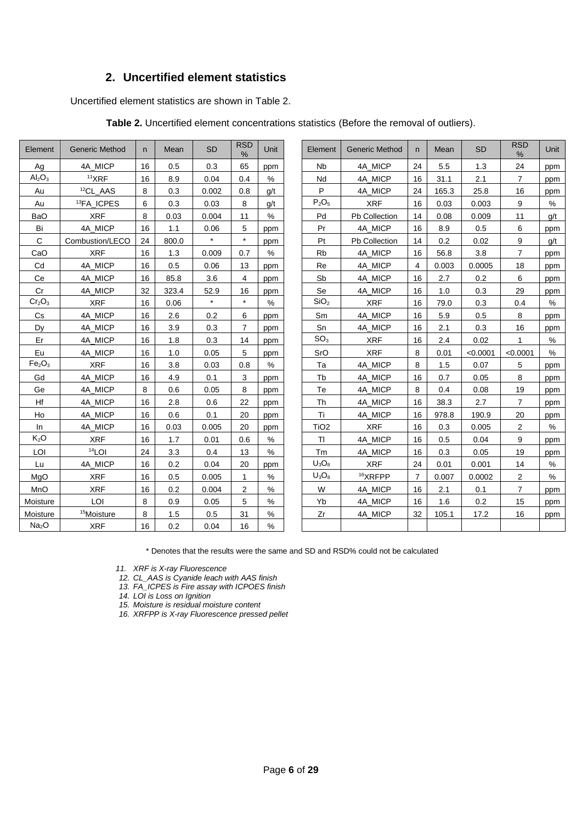## **2. Uncertified element statistics**

<span id="page-5-1"></span><span id="page-5-0"></span>Uncertified element statistics are shown in Table 2.

| Element                        | <b>Generic Method</b>  | n. | Mean  | <b>SD</b> | <b>RSD</b><br>% | Unit | Element              | <b>Generic Method</b> | n              | Mean  | <b>SD</b> | <b>RSD</b><br>% | Unit |
|--------------------------------|------------------------|----|-------|-----------|-----------------|------|----------------------|-----------------------|----------------|-------|-----------|-----------------|------|
| Ag                             | 4A MICP                | 16 | 0.5   | 0.3       | 65              | ppm  | <b>N<sub>b</sub></b> | 4A MICP               | 24             | 5.5   | 1.3       | 24              | ppm  |
| Al <sub>2</sub> O <sub>3</sub> | $11$ XRF               | 16 | 8.9   | 0.04      | 0.4             | $\%$ | Nd                   | 4A MICP               | 16             | 31.1  | 2.1       | $\overline{7}$  | ppm  |
| Au                             | <sup>12</sup> CL_AAS   | 8  | 0.3   | 0.002     | 0.8             | q/t  | P                    | 4A_MICP               | 24             | 165.3 | 25.8      | 16              | ppm  |
| Au                             | <sup>13</sup> FA ICPES | 6  | 0.3   | 0.03      | 8               | q/t  | $P_2O_5$             | <b>XRF</b>            | 16             | 0.03  | 0.003     | 9               | %    |
| <b>BaO</b>                     | <b>XRF</b>             | 8  | 0.03  | 0.004     | 11              | $\%$ | Pd                   | Pb Collection         | 14             | 0.08  | 0.009     | 11              | g/t  |
| Bi                             | 4A MICP                | 16 | 1.1   | 0.06      | 5               | ppm  | Pr                   | 4A MICP               | 16             | 8.9   | 0.5       | 6               | ppm  |
| C                              | Combustion/LECO        | 24 | 800.0 |           | $\star$         | ppm  | Pt                   | Pb Collection         | 14             | 0.2   | 0.02      | 9               | g/t  |
| CaO                            | <b>XRF</b>             | 16 | 1.3   | 0.009     | 0.7             | $\%$ | <b>Rb</b>            | 4A MICP               | 16             | 56.8  | 3.8       | $\overline{7}$  | ppm  |
| Cd                             | 4A MICP                | 16 | 0.5   | 0.06      | 13              | ppm  | Re                   | 4A MICP               | 4              | 0.003 | 0.0005    | 18              | ppm  |
| Ce                             | 4A_MICP                | 16 | 85.8  | 3.6       | 4               | ppm  | Sb                   | 4A MICP               | 16             | 2.7   | 0.2       | 6               | ppm  |
| Cr                             | 4A MICP                | 32 | 323.4 | 52.9      | 16              | ppm  | Se                   | 4A MICP               | 16             | 1.0   | 0.3       | 29              | ppm  |
| Cr <sub>2</sub> O <sub>3</sub> | <b>XRF</b>             | 16 | 0.06  | $\star$   | $\star$         | $\%$ | SiO <sub>2</sub>     | <b>XRF</b>            | 16             | 79.0  | 0.3       | 0.4             | $\%$ |
| Cs                             | 4A_MICP                | 16 | 2.6   | 0.2       | 6               | ppm  | Sm                   | 4A MICP               | 16             | 5.9   | 0.5       | 8               | ppm  |
| Dy                             | 4A MICP                | 16 | 3.9   | 0.3       | $\overline{7}$  | ppm  | Sn                   | 4A MICP               | 16             | 2.1   | 0.3       | 16              | ppm  |
| Er                             | 4A_MICP                | 16 | 1.8   | 0.3       | 14              | ppm  | SO <sub>3</sub>      | <b>XRF</b>            | 16             | 2.4   | 0.02      | $\mathbf{1}$    | $\%$ |
| Eu                             | 4A MICP                | 16 | 1.0   | 0.05      | 5               | ppm  | SrO                  | <b>XRF</b>            | 8              | 0.01  | < 0.0001  | < 0.0001        | %    |
| Fe <sub>2</sub> O <sub>3</sub> | <b>XRF</b>             | 16 | 3.8   | 0.03      | 0.8             | $\%$ | Ta                   | 4A_MICP               | 8              | 1.5   | 0.07      | 5               | ppm  |
| Gd                             | 4A_MICP                | 16 | 4.9   | 0.1       | 3               | ppm  | Tb                   | 4A MICP               | 16             | 0.7   | 0.05      | 8               | ppm  |
| Ge                             | 4A MICP                | 8  | 0.6   | 0.05      | 8               | ppm  | Te                   | 4A MICP               | 8              | 0.4   | 0.08      | 19              | ppm  |
| Hf                             | 4A_MICP                | 16 | 2.8   | 0.6       | 22              | ppm  | Th                   | 4A_MICP               | 16             | 38.3  | 2.7       | $\overline{7}$  | ppm  |
| Ho                             | 4A MICP                | 16 | 0.6   | 0.1       | 20              | ppm  | Ti                   | 4A MICP               | 16             | 978.8 | 190.9     | 20              | ppm  |
| In                             | 4A MICP                | 16 | 0.03  | 0.005     | 20              | ppm  | TiO <sub>2</sub>     | <b>XRF</b>            | 16             | 0.3   | 0.005     | 2               | %    |
| K <sub>2</sub> O               | <b>XRF</b>             | 16 | 1.7   | 0.01      | 0.6             | $\%$ | <b>TI</b>            | 4A_MICP               | 16             | 0.5   | 0.04      | 9               | ppm  |
| LOI                            | $14$ LOI               | 24 | 3.3   | 0.4       | 13              | $\%$ | Tm                   | 4A MICP               | 16             | 0.3   | 0.05      | 19              | ppm  |
| Lu                             | 4A MICP                | 16 | 0.2   | 0.04      | 20              | ppm  | $U_3O_8$             | <b>XRF</b>            | 24             | 0.01  | 0.001     | 14              | %    |
| MgO                            | <b>XRF</b>             | 16 | 0.5   | 0.005     | $\mathbf 1$     | $\%$ | $U_3O_8$             | <sup>16</sup> XRFPP   | $\overline{7}$ | 0.007 | 0.0002    | 2               | $\%$ |
| MnO                            | <b>XRF</b>             | 16 | 0.2   | 0.004     | 2               | $\%$ | W                    | 4A MICP               | 16             | 2.1   | 0.1       | $\overline{7}$  | ppm  |
| Moisture                       | LOI                    | 8  | 0.9   | 0.05      | 5               | $\%$ | Yb                   | 4A MICP               | 16             | 1.6   | 0.2       | 15              | ppm  |
| Moisture                       | <sup>15</sup> Moisture | 8  | 1.5   | 0.5       | 31              | %    | Zr                   | 4A MICP               | 32             | 105.1 | 17.2      | 16              | ppm  |
| Na <sub>2</sub> O              | <b>XRF</b>             | 16 | 0.2   | 0.04      | 16              | %    |                      |                       |                |       |           |                 |      |
|                                |                        |    |       |           |                 |      |                      |                       |                |       |           |                 |      |

**Table 2.** Uncertified element concentrations statistics (Before the removal of outliers).

\* Denotes that the results were the same and SD and RSD% could not be calculated

*11. XRF is X-ray Fluorescence* 

*12. CL\_AAS is Cyanide leach with AAS finish*

*13. FA\_ICPES is Fire assay with ICPOES finish*

*14. LOI is Loss on Ignition*

*15. Moisture is residual moisture content*

*16. XRFPP is X-ray Fluorescence pressed pellet*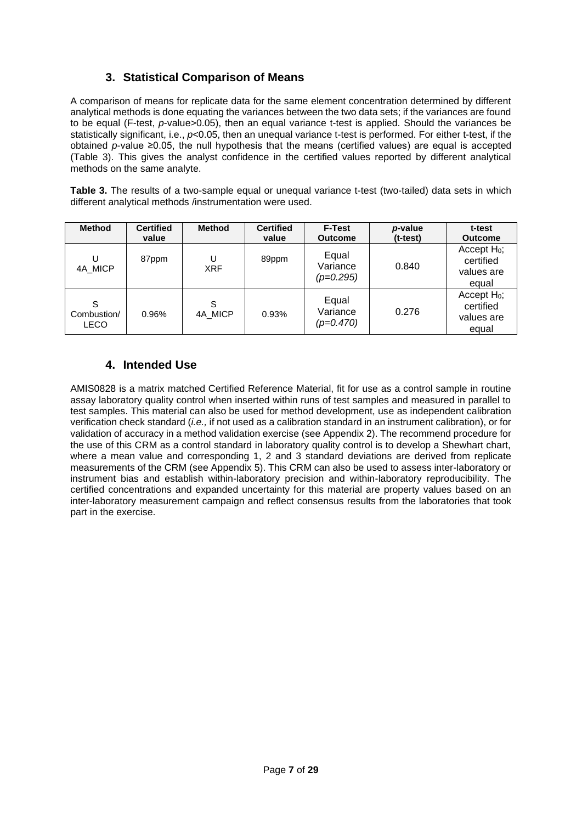## **3. Statistical Comparison of Means**

<span id="page-6-0"></span>A comparison of means for replicate data for the same element concentration determined by different analytical methods is done equating the variances between the two data sets; if the variances are found to be equal (F-test, *p*-value>0.05), then an equal variance t-test is applied. Should the variances be statistically significant, i.e., *p*<0.05, then an unequal variance t-test is performed. For either t-test, if the obtained *p*-value ≥0.05, the null hypothesis that the means (certified values) are equal is accepted (Table 3). This gives the analyst confidence in the certified values reported by different analytical methods on the same analyte.

<span id="page-6-2"></span>**Table 3.** The results of a two-sample equal or unequal variance t-test (two-tailed) data sets in which different analytical methods /instrumentation were used.

| <b>Method</b>            | <b>Certified</b><br>value | <b>Method</b>   | <b>Certified</b><br>value | <b>F-Test</b><br><b>Outcome</b>  | p-value<br>$(t-test)$ | t-test<br><b>Outcome</b>                           |
|--------------------------|---------------------------|-----------------|---------------------------|----------------------------------|-----------------------|----------------------------------------------------|
| U<br>4A MICP             | 87ppm                     | U<br><b>XRF</b> | 89ppm                     | Equal<br>Variance<br>$(p=0.295)$ | 0.840                 | Accept $H_0$ ;<br>certified<br>values are<br>equal |
| S<br>Combustion/<br>LECO | 0.96%                     | S<br>4A MICP    | 0.93%                     | Equal<br>Variance<br>$(p=0.470)$ | 0.276                 | Accept $H_0$ ;<br>certified<br>values are<br>equal |

## **4. Intended Use**

<span id="page-6-1"></span>AMIS0828 is a matrix matched Certified Reference Material, fit for use as a control sample in routine assay laboratory quality control when inserted within runs of test samples and measured in parallel to test samples. This material can also be used for method development, use as independent calibration verification check standard (*i.e.,* if not used as a calibration standard in an instrument calibration), or for validation of accuracy in a method validation exercise (se[e Appendix 2\)](#page-24-1). The recommend procedure for the use of this CRM as a control standard in laboratory quality control is to develop a Shewhart chart, where a mean value and corresponding 1, 2 and 3 standard deviations are derived from replicate measurements of the CRM (see [Appendix 5\)](#page-25-2). This CRM can also be used to assess inter-laboratory or instrument bias and establish within-laboratory precision and within-laboratory reproducibility. The certified concentrations and expanded uncertainty for this material are property values based on an inter-laboratory measurement campaign and reflect consensus results from the laboratories that took part in the exercise.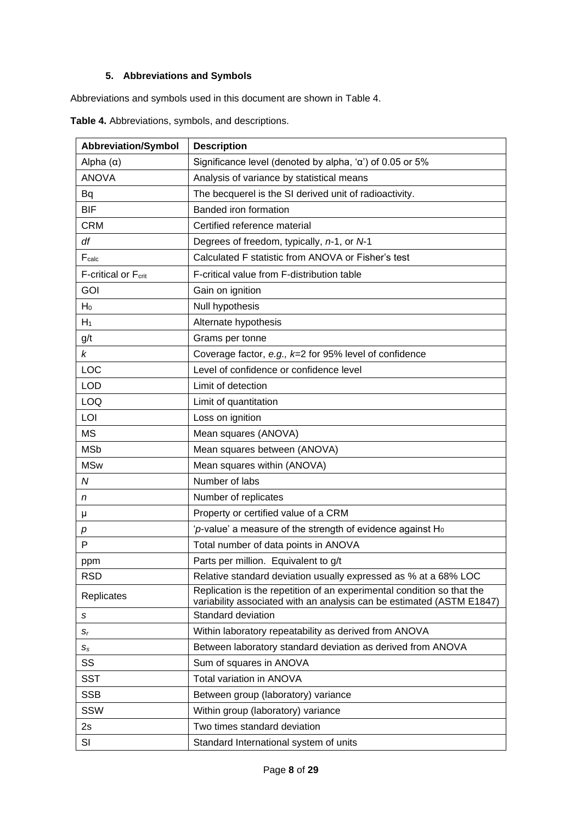## **5. Abbreviations and Symbols**

<span id="page-7-0"></span>Abbreviations and symbols used in this document are shown in [Table 4.](#page-7-1)

| <b>Abbreviation/Symbol</b> | <b>Description</b>                                                                                                                              |
|----------------------------|-------------------------------------------------------------------------------------------------------------------------------------------------|
| Alpha $(\alpha)$           | Significance level (denoted by alpha, 'a') of 0.05 or 5%                                                                                        |
| <b>ANOVA</b>               | Analysis of variance by statistical means                                                                                                       |
| Bq                         | The becquerel is the SI derived unit of radioactivity.                                                                                          |
| <b>BIF</b>                 | Banded iron formation                                                                                                                           |
| <b>CRM</b>                 | Certified reference material                                                                                                                    |
| df                         | Degrees of freedom, typically, n-1, or N-1                                                                                                      |
| Fcalc                      | Calculated F statistic from ANOVA or Fisher's test                                                                                              |
| F-critical or Fcrit        | F-critical value from F-distribution table                                                                                                      |
| <b>GOI</b>                 | Gain on ignition                                                                                                                                |
| $H_0$                      | Null hypothesis                                                                                                                                 |
| $H_1$                      | Alternate hypothesis                                                                                                                            |
| g/t                        | Grams per tonne                                                                                                                                 |
| k                          | Coverage factor, e.g., $k=2$ for 95% level of confidence                                                                                        |
| LOC                        | Level of confidence or confidence level                                                                                                         |
| <b>LOD</b>                 | Limit of detection                                                                                                                              |
| LOQ                        | Limit of quantitation                                                                                                                           |
| LOI                        | Loss on ignition                                                                                                                                |
| <b>MS</b>                  | Mean squares (ANOVA)                                                                                                                            |
| <b>MSb</b>                 | Mean squares between (ANOVA)                                                                                                                    |
| <b>MSw</b>                 | Mean squares within (ANOVA)                                                                                                                     |
| N                          | Number of labs                                                                                                                                  |
| n                          | Number of replicates                                                                                                                            |
| μ                          | Property or certified value of a CRM                                                                                                            |
| р                          | 'p-value' a measure of the strength of evidence against $H_0$                                                                                   |
| P                          | Total number of data points in ANOVA                                                                                                            |
| ppm                        | Parts per million. Equivalent to g/t                                                                                                            |
| <b>RSD</b>                 | Relative standard deviation usually expressed as % at a 68% LOC                                                                                 |
| Replicates                 | Replication is the repetition of an experimental condition so that the<br>variability associated with an analysis can be estimated (ASTM E1847) |
| s                          | Standard deviation                                                                                                                              |
| $S_r$                      | Within laboratory repeatability as derived from ANOVA                                                                                           |
| $S_{\rm S}$                | Between laboratory standard deviation as derived from ANOVA                                                                                     |
| SS                         | Sum of squares in ANOVA                                                                                                                         |
| <b>SST</b>                 | Total variation in ANOVA                                                                                                                        |
| <b>SSB</b>                 | Between group (laboratory) variance                                                                                                             |
| SSW                        | Within group (laboratory) variance                                                                                                              |
| 2s                         | Two times standard deviation                                                                                                                    |
| SI                         | Standard International system of units                                                                                                          |

<span id="page-7-1"></span>**Table 4.** Abbreviations, symbols, and descriptions.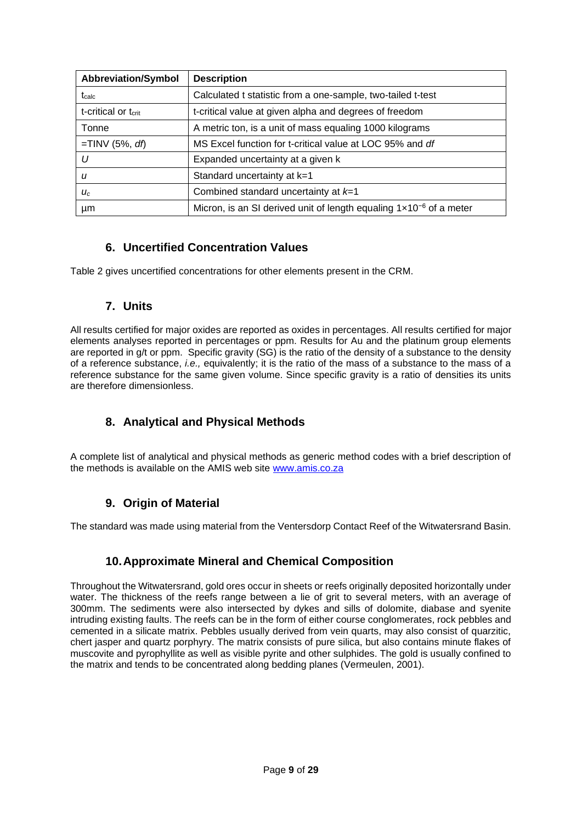| <b>Abbreviation/Symbol</b>      | <b>Description</b>                                                             |
|---------------------------------|--------------------------------------------------------------------------------|
| $t_{\rm calc}$                  | Calculated t statistic from a one-sample, two-tailed t-test                    |
| t-critical or t <sub>crit</sub> | t-critical value at given alpha and degrees of freedom                         |
| Tonne                           | A metric ton, is a unit of mass equaling 1000 kilograms                        |
| $=$ TINV (5%, df)               | MS Excel function for t-critical value at LOC 95% and df                       |
| U                               | Expanded uncertainty at a given k                                              |
| u                               | Standard uncertainty at k=1                                                    |
| $U_c$                           | Combined standard uncertainty at $k=1$                                         |
| μm                              | Micron, is an SI derived unit of length equaling $1 \times 10^{-6}$ of a meter |

## **6. Uncertified Concentration Values**

<span id="page-8-0"></span>Table 2 gives uncertified concentrations for other elements present in the CRM.

#### **7. Units**

<span id="page-8-1"></span>All results certified for major oxides are reported as oxides in percentages. All results certified for major elements analyses reported in percentages or ppm. Results for Au and the platinum group elements are reported in g/t or ppm. Specific gravity (SG) is the ratio of the density of a substance to the density of a reference substance, *i.e.,* equivalently; it is the ratio of the mass of a substance to the mass of a reference substance for the same given volume. Since specific gravity is a ratio of densities its units are therefore dimensionless.

## **8. Analytical and Physical Methods**

<span id="page-8-2"></span>A complete list of analytical and physical methods as generic method codes with a brief description of the methods is available on the AMIS web site [www.amis.co.za](http://www.amis.co.za/)

## **9. Origin of Material**

<span id="page-8-3"></span>The standard was made using material from the Ventersdorp Contact Reef of the Witwatersrand Basin.

## **10.Approximate Mineral and Chemical Composition**

<span id="page-8-4"></span>Throughout the Witwatersrand, gold ores occur in sheets or reefs originally deposited horizontally under water. The thickness of the reefs range between a lie of grit to several meters, with an average of 300mm. The sediments were also intersected by dykes and sills of dolomite, diabase and syenite intruding existing faults. The reefs can be in the form of either course conglomerates, rock pebbles and cemented in a silicate matrix. Pebbles usually derived from vein quarts, may also consist of quarzitic, chert jasper and quartz porphyry. The matrix consists of pure silica, but also contains minute flakes of muscovite and pyrophyllite as well as visible pyrite and other sulphides. The gold is usually confined to the matrix and tends to be concentrated along bedding planes (Vermeulen, 2001).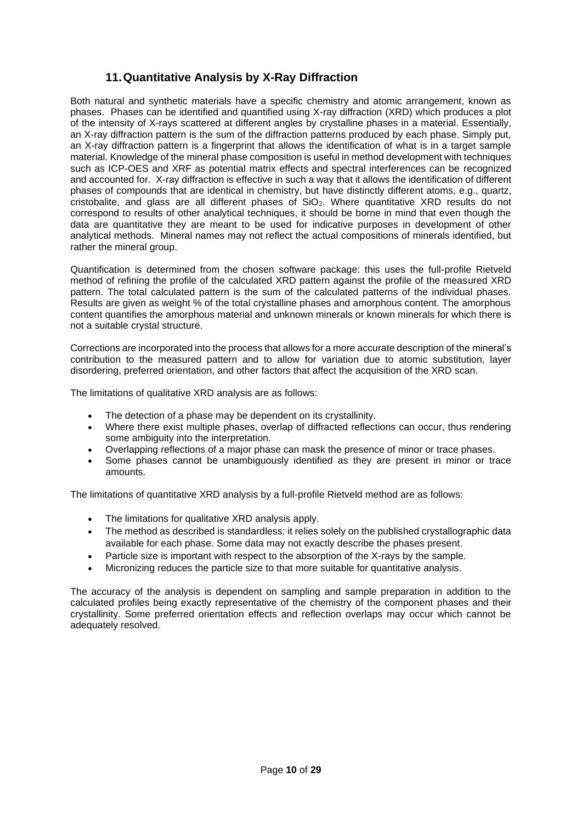## **11.Quantitative Analysis by X-Ray Diffraction**

<span id="page-9-0"></span>Both natural and synthetic materials have a specific chemistry and atomic arrangement, known as phases. Phases can be identified and quantified using X-ray diffraction (XRD) which produces a plot of the intensity of X-rays scattered at different angles by crystalline phases in a material. Essentially, an X-ray diffraction pattern is the sum of the diffraction patterns produced by each phase. Simply put, an X-ray diffraction pattern is a fingerprint that allows the identification of what is in a target sample material. Knowledge of the mineral phase composition is useful in method development with techniques such as ICP-OES and XRF as potential matrix effects and spectral interferences can be recognized and accounted for. X-ray diffraction is effective in such a way that it allows the identification of different phases of compounds that are identical in chemistry, but have distinctly different atoms, e.g., quartz, cristobalite, and glass are all different phases of SiO<sub>2</sub>. Where quantitative XRD results do not correspond to results of other analytical techniques, it should be borne in mind that even though the data are quantitative they are meant to be used for indicative purposes in development of other analytical methods. Mineral names may not reflect the actual compositions of minerals identified, but rather the mineral group.

Quantification is determined from the chosen software package: this uses the full-profile Rietveld method of refining the profile of the calculated XRD pattern against the profile of the measured XRD pattern. The total calculated pattern is the sum of the calculated patterns of the individual phases. Results are given as weight % of the total crystalline phases and amorphous content. The amorphous content quantifies the amorphous material and unknown minerals or known minerals for which there is not a suitable crystal structure.

Corrections are incorporated into the process that allows for a more accurate description of the mineral's contribution to the measured pattern and to allow for variation due to atomic substitution, layer disordering, preferred orientation, and other factors that affect the acquisition of the XRD scan.

The limitations of qualitative XRD analysis are as follows:

- The detection of a phase may be dependent on its crystallinity.
- Where there exist multiple phases, overlap of diffracted reflections can occur, thus rendering some ambiguity into the interpretation.
- Overlapping reflections of a major phase can mask the presence of minor or trace phases.
- Some phases cannot be unambiguously identified as they are present in minor or trace amounts.

The limitations of quantitative XRD analysis by a full-profile Rietveld method are as follows:

- The limitations for qualitative XRD analysis apply.
- The method as described is standardless: it relies solely on the published crystallographic data available for each phase. Some data may not exactly describe the phases present.
- Particle size is important with respect to the absorption of the X-rays by the sample.
- Micronizing reduces the particle size to that more suitable for quantitative analysis.

The accuracy of the analysis is dependent on sampling and sample preparation in addition to the calculated profiles being exactly representative of the chemistry of the component phases and their crystallinity. Some preferred orientation effects and reflection overlaps may occur which cannot be adequately resolved.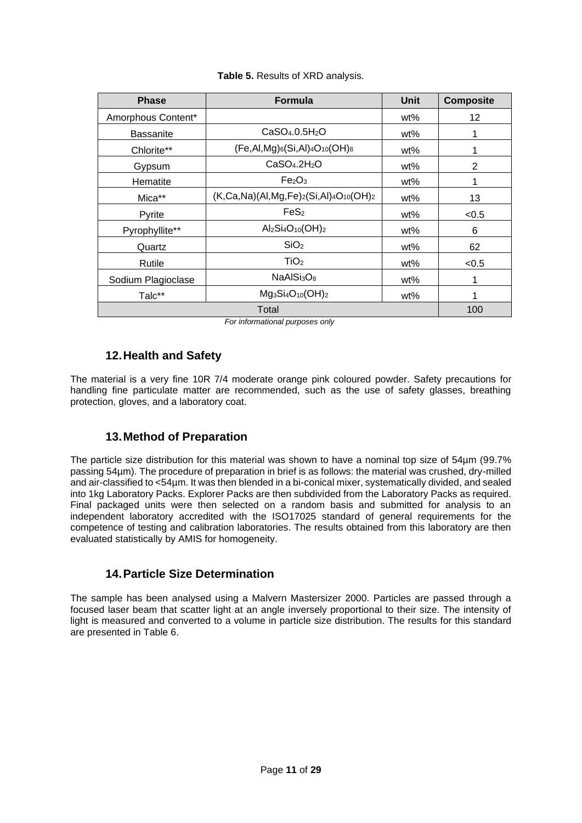<span id="page-10-3"></span>

| <b>Phase</b>       | <b>Formula</b>                                    | Unit | <b>Composite</b> |
|--------------------|---------------------------------------------------|------|------------------|
| Amorphous Content* |                                                   | wt%  | 12               |
| <b>Bassanite</b>   | CaSO <sub>4</sub> .0.5H <sub>2</sub> O            | wt%  |                  |
| Chlorite**         | $(Fe, Al, Mg)_6(Si, Al)_4O_{10}(OH)_8$            | wt%  |                  |
| Gypsum             | CaSO <sub>4</sub> .2H <sub>2</sub> O              | wt%  | 2                |
| Hematite           | Fe <sub>2</sub> O <sub>3</sub>                    | wt%  |                  |
| Mica**             | $(K, Ca, Na)(Al, Mg, Fe)_2(Si, Al)_4O_{10}(OH)_2$ | wt%  | 13               |
| Pyrite             | FeS <sub>2</sub>                                  | wt%  | < 0.5            |
| Pyrophyllite**     | $Al_2Si_4O_{10}(OH)_2$                            | wt%  | 6                |
| Quartz             | SiO <sub>2</sub>                                  | wt%  | 62               |
| Rutile             | TiO <sub>2</sub>                                  | wt%  | < 0.5            |
| Sodium Plagioclase | NaAlSi <sub>3</sub> O <sub>8</sub>                | wt%  | 1                |
| Talc**             | $Mg_3Si_4O_{10}(OH)_2$                            | wt%  |                  |
|                    | 100                                               |      |                  |

#### **Table 5.** Results of XRD analysis.

 *For informational purposes only*

## **12.Health and Safety**

<span id="page-10-0"></span>The material is a very fine 10R 7/4 moderate orange pink coloured powder. Safety precautions for handling fine particulate matter are recommended, such as the use of safety glasses, breathing protection, gloves, and a laboratory coat.

#### **13.Method of Preparation**

<span id="page-10-1"></span>The particle size distribution for this material was shown to have a nominal top size of 54µm (99.7% passing 54µm). The procedure of preparation in brief is as follows: the material was crushed, dry-milled and air-classified to <54µm. It was then blended in a bi-conical mixer, systematically divided, and sealed into 1kg Laboratory Packs. Explorer Packs are then subdivided from the Laboratory Packs as required. Final packaged units were then selected on a random basis and submitted for analysis to an independent laboratory accredited with the ISO17025 standard of general requirements for the competence of testing and calibration laboratories. The results obtained from this laboratory are then evaluated statistically by AMIS for homogeneity.

## **14.Particle Size Determination**

<span id="page-10-2"></span>The sample has been analysed using a Malvern Mastersizer 2000. Particles are passed through a focused laser beam that scatter light at an angle inversely proportional to their size. The intensity of light is measured and converted to a volume in particle size distribution. The results for this standard are presented in Table 6.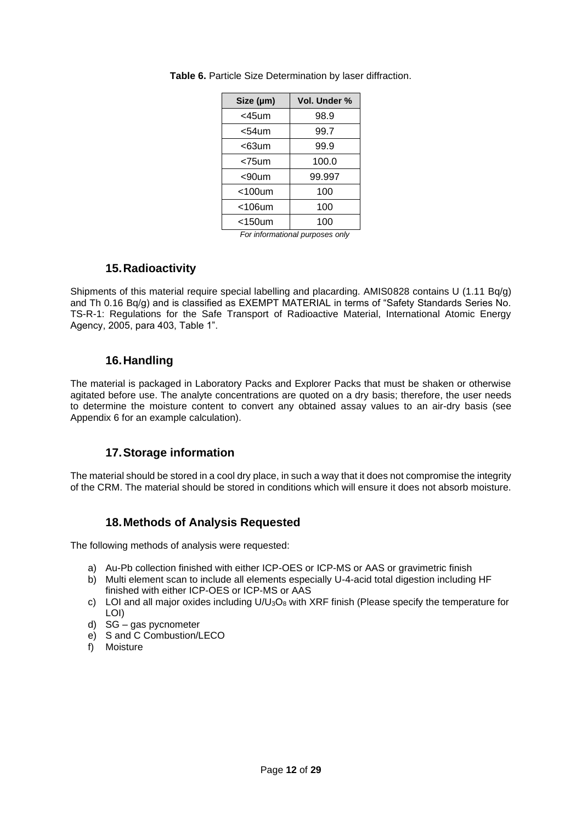| Size (µm)    | Vol. Under % |
|--------------|--------------|
| <45um        | 98.9         |
| <54um        | 99.7         |
| <63um        | 99.9         |
| <75um        | 100.0        |
| <90um        | 99.997       |
| $<$ 100 $um$ | 100          |
| $<$ 106 $um$ | 100          |
| $<$ 150 $um$ | 100          |

<span id="page-11-4"></span>**Table 6.** Particle Size Determination by laser diffraction.

 *For informational purposes only*

#### **15.Radioactivity**

<span id="page-11-0"></span>Shipments of this material require special labelling and placarding. AMIS0828 contains U (1.11 Bq/g) and Th 0.16 Bq/g) and is classified as EXEMPT MATERIAL in terms of "Safety Standards Series No. TS-R-1: Regulations for the Safe Transport of Radioactive Material, International Atomic Energy Agency, 2005, para 403, Table 1".

## **16.Handling**

<span id="page-11-1"></span>The material is packaged in Laboratory Packs and Explorer Packs that must be shaken or otherwise agitated before use. The analyte concentrations are quoted on a dry basis; therefore, the user needs to determine the moisture content to convert any obtained assay values to an air-dry basis (see [Appendix 6](#page-26-0) for an example calculation).

#### **17.Storage information**

<span id="page-11-2"></span>The material should be stored in a cool dry place, in such a way that it does not compromise the integrity of the CRM. The material should be stored in conditions which will ensure it does not absorb moisture.

#### **18.Methods of Analysis Requested**

<span id="page-11-3"></span>The following methods of analysis were requested:

- a) Au-Pb collection finished with either ICP-OES or ICP-MS or AAS or gravimetric finish
- b) Multi element scan to include all elements especially U-4-acid total digestion including HF finished with either ICP-OES or ICP-MS or AAS
- c) LOI and all major oxides including  $U/U_3O_8$  with XRF finish (Please specify the temperature for LOI)
- d) SG gas pycnometer
- e) S and C Combustion/LECO
- f) Moisture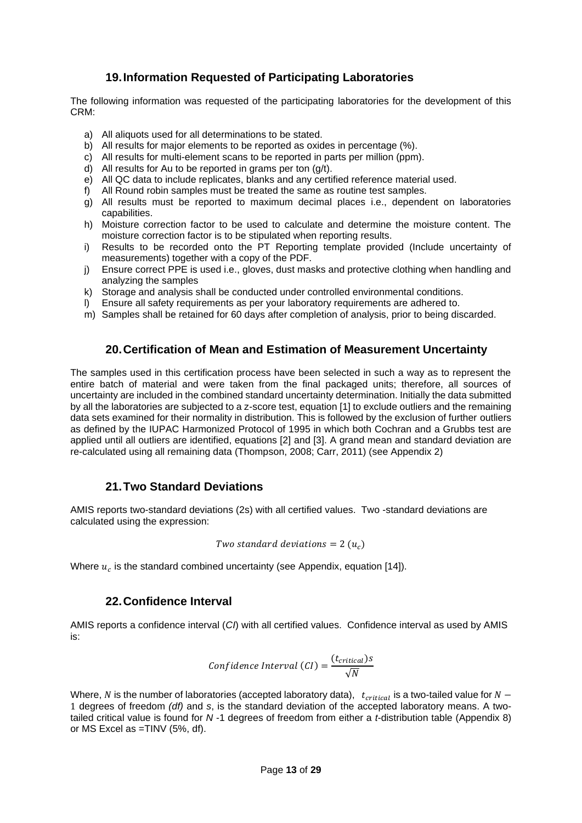#### **19.Information Requested of Participating Laboratories**

<span id="page-12-0"></span>The following information was requested of the participating laboratories for the development of this CRM:

- a) All aliquots used for all determinations to be stated.
- b) All results for major elements to be reported as oxides in percentage (%).
- c) All results for multi-element scans to be reported in parts per million (ppm).
- d) All results for Au to be reported in grams per ton (g/t).
- e) All QC data to include replicates, blanks and any certified reference material used.
- f) All Round robin samples must be treated the same as routine test samples.
- g) All results must be reported to maximum decimal places i.e., dependent on laboratories capabilities.
- h) Moisture correction factor to be used to calculate and determine the moisture content. The moisture correction factor is to be stipulated when reporting results.
- i) Results to be recorded onto the PT Reporting template provided (Include uncertainty of measurements) together with a copy of the PDF.
- j) Ensure correct PPE is used i.e., gloves, dust masks and protective clothing when handling and analyzing the samples
- k) Storage and analysis shall be conducted under controlled environmental conditions.
- l) Ensure all safety requirements as per your laboratory requirements are adhered to.
- m) Samples shall be retained for 60 days after completion of analysis, prior to being discarded.

#### **20.Certification of Mean and Estimation of Measurement Uncertainty**

<span id="page-12-1"></span>The samples used in this certification process have been selected in such a way as to represent the entire batch of material and were taken from the final packaged units; therefore, all sources of uncertainty are included in the combined standard uncertainty determination. Initially the data submitted by all the laboratories are subjected to a z-score test, equation [1] to exclude outliers and the remaining data sets examined for their normality in distribution. This is followed by the exclusion of further outliers as defined by the IUPAC Harmonized Protocol of 1995 in which both Cochran and a Grubbs test are applied until all outliers are identified, equations [2] and [3]. A grand mean and standard deviation are re-calculated using all remaining data (Thompson, 2008; Carr, 2011) (see Appendix 2)

#### **21.Two Standard Deviations**

<span id="page-12-2"></span>AMIS reports two-standard deviations (2s) with all certified values. Two -standard deviations are calculated using the expression:

Two standard deviations = 
$$
2(u_c)
$$

Where  $u_c$  is the standard combined uncertainty (see Appendix, equation [14]).

#### **22.Confidence Interval**

<span id="page-12-3"></span>AMIS reports a confidence interval (*CI*) with all certified values. Confidence interval as used by AMIS is:

Confidence Interval (CI) = 
$$
\frac{(t_{critical})s}{\sqrt{N}}
$$

Where, N is the number of laboratories (accepted laboratory data),  $t_{critical}$  is a two-tailed value for  $N-$ 1 degrees of freedom *(df)* and *s*, is the standard deviation of the accepted laboratory means. A twotailed critical value is found for *N* -1 degrees of freedom from either a *t*-distribution table [\(Appendix 8\)](#page-28-2) or MS Excel as =TINV (5%, df).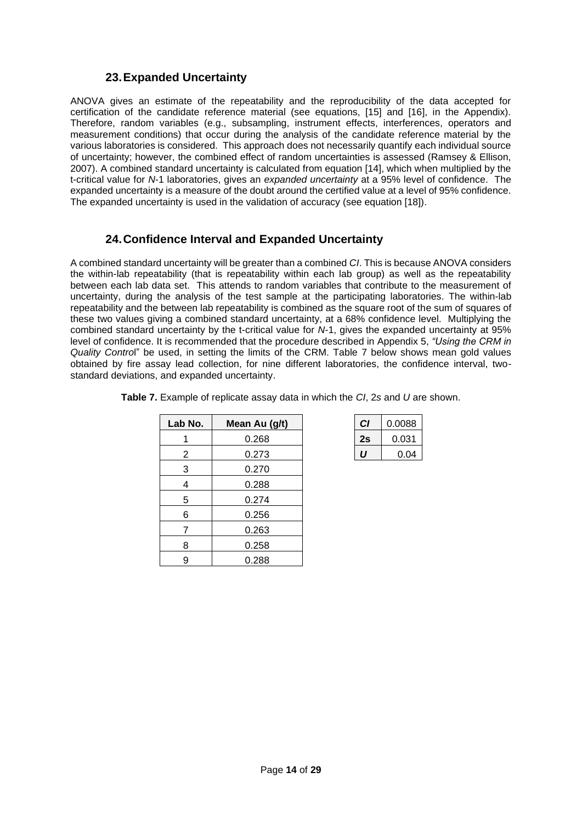#### **23.Expanded Uncertainty**

<span id="page-13-0"></span>ANOVA gives an estimate of the repeatability and the reproducibility of the data accepted for certification of the candidate reference material (see equations, [15] and [16], in the Appendix). Therefore, random variables (e.g., subsampling, instrument effects, interferences, operators and measurement conditions) that occur during the analysis of the candidate reference material by the various laboratories is considered. This approach does not necessarily quantify each individual source of uncertainty; however, the combined effect of random uncertainties is assessed (Ramsey & Ellison, 2007). A combined standard uncertainty is calculated from equation [14], which when multiplied by the t-critical value for *N*-1 laboratories, gives an *expanded uncertainty* at a 95% level of confidence. The expanded uncertainty is a measure of the doubt around the certified value at a level of 95% confidence. The expanded uncertainty is used in the validation of accuracy (see equation [18]).

## **24.Confidence Interval and Expanded Uncertainty**

<span id="page-13-1"></span>A combined standard uncertainty will be greater than a combined *CI*. This is because ANOVA considers the within-lab repeatability (that is repeatability within each lab group) as well as the repeatability between each lab data set. This attends to random variables that contribute to the measurement of uncertainty, during the analysis of the test sample at the participating laboratories. The within-lab repeatability and the between lab repeatability is combined as the square root of the sum of squares of these two values giving a combined standard uncertainty, at a 68% confidence level. Multiplying the combined standard uncertainty by the t-critical value for *N*-1, gives the expanded uncertainty at 95% level of confidence. It is recommended that the procedure described in [Appendix 5,](#page-25-2) *"Using the CRM in Quality Contro*l" be used, in setting the limits of the CRM. [Table 7](#page-13-2) below shows mean gold values obtained by fire assay lead collection, for nine different laboratories, the confidence interval, twostandard deviations, and expanded uncertainty.

| Lab No.        | Mean Au (g/t) | C1 | 0.0088 |
|----------------|---------------|----|--------|
|                | 0.268         | 2s | 0.031  |
| $\overline{2}$ | 0.273         | IJ | 0.04   |
| 3              | 0.270         |    |        |
| 4              | 0.288         |    |        |
| 5              | 0.274         |    |        |
| 6              | 0.256         |    |        |
| 7              | 0.263         |    |        |
| 8              | 0.258         |    |        |
| 9              | 0.288         |    |        |

<span id="page-13-2"></span>

| Table 7. Example of replicate assay data in which the CI, 2s and U are shown. |  |  |  |  |  |
|-------------------------------------------------------------------------------|--|--|--|--|--|
|-------------------------------------------------------------------------------|--|--|--|--|--|

| СI | 0.0088 |
|----|--------|
| 2s | 0.031  |
| "  | 0.04   |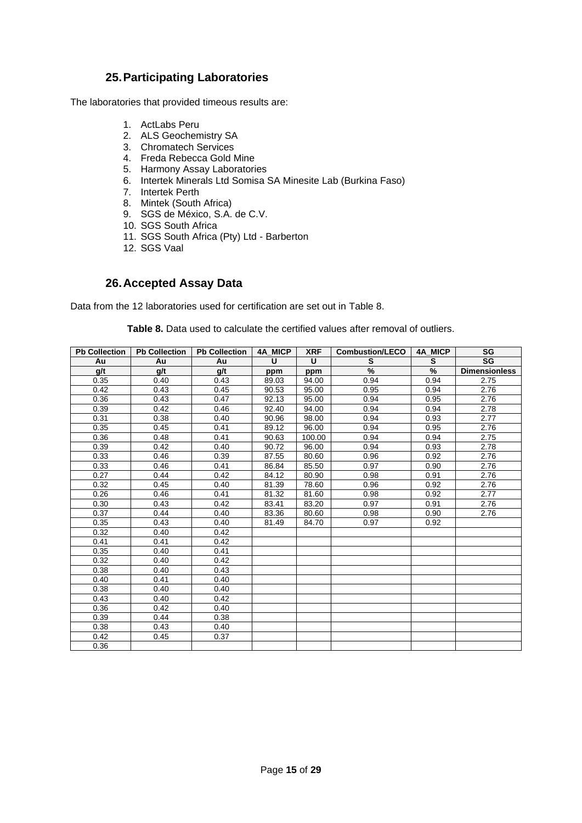#### **25.Participating Laboratories**

<span id="page-14-0"></span>The laboratories that provided timeous results are:

- 1. ActLabs Peru
- 2. ALS Geochemistry SA
- 3. Chromatech Services
- 4. Freda Rebecca Gold Mine
- 5. Harmony Assay Laboratories
- 6. Intertek Minerals Ltd Somisa SA Minesite Lab (Burkina Faso)
- 7. Intertek Perth
- 8. Mintek (South Africa)
- 9. SGS de México, S.A. de C.V.
- 10. SGS South Africa
- 11. SGS South Africa (Pty) Ltd Barberton
- 12. SGS Vaal

#### **26.Accepted Assay Data**

<span id="page-14-2"></span><span id="page-14-1"></span>Data from the 12 laboratories used for certification are set out in [Table 8.](#page-14-2)

**Table 8.** Data used to calculate the certified values after removal of outliers.

| <b>Pb Collection</b> | <b>Pb Collection</b> | <b>Pb Collection</b> | 4A MICP | <b>XRF</b> | <b>Combustion/LECO</b> | 4A MICP | SG                   |
|----------------------|----------------------|----------------------|---------|------------|------------------------|---------|----------------------|
| Au                   | Au                   | Au                   | U       | U          | S                      | S       | <b>SG</b>            |
| g/t                  | g/t                  | g/t                  | ppm     | ppm        | $\%$                   | %       | <b>Dimensionless</b> |
| 0.35                 | 0.40                 | 0.43                 | 89.03   | 94.00      | 0.94                   | 0.94    | 2.75                 |
| 0.42                 | 0.43                 | 0.45                 | 90.53   | 95.00      | 0.95                   | 0.94    | 2.76                 |
| 0.36                 | 0.43                 | 0.47                 | 92.13   | 95.00      | 0.94                   | 0.95    | 2.76                 |
| 0.39                 | 0.42                 | 0.46                 | 92.40   | 94.00      | 0.94                   | 0.94    | 2.78                 |
| 0.31                 | 0.38                 | 0.40                 | 90.96   | 98.00      | 0.94                   | 0.93    | 2.77                 |
| 0.35                 | 0.45                 | 0.41                 | 89.12   | 96.00      | 0.94                   | 0.95    | 2.76                 |
| 0.36                 | 0.48                 | 0.41                 | 90.63   | 100.00     | 0.94                   | 0.94    | 2.75                 |
| 0.39                 | 0.42                 | 0.40                 | 90.72   | 96.00      | 0.94                   | 0.93    | 2.78                 |
| 0.33                 | 0.46                 | 0.39                 | 87.55   | 80.60      | 0.96                   | 0.92    | 2.76                 |
| 0.33                 | 0.46                 | 0.41                 | 86.84   | 85.50      | 0.97                   | 0.90    | 2.76                 |
| 0.27                 | 0.44                 | 0.42                 | 84.12   | 80.90      | 0.98                   | 0.91    | 2.76                 |
| 0.32                 | 0.45                 | 0.40                 | 81.39   | 78.60      | 0.96                   | 0.92    | 2.76                 |
| 0.26                 | 0.46                 | 0.41                 | 81.32   | 81.60      | 0.98                   | 0.92    | 2.77                 |
| 0.30                 | 0.43                 | 0.42                 | 83.41   | 83.20      | 0.97                   | 0.91    | 2.76                 |
| 0.37                 | 0.44                 | 0.40                 | 83.36   | 80.60      | 0.98                   | 0.90    | 2.76                 |
| 0.35                 | 0.43                 | 0.40                 | 81.49   | 84.70      | 0.97                   | 0.92    |                      |
| 0.32                 | 0.40                 | 0.42                 |         |            |                        |         |                      |
| 0.41                 | 0.41                 | 0.42                 |         |            |                        |         |                      |
| 0.35                 | 0.40                 | 0.41                 |         |            |                        |         |                      |
| 0.32                 | 0.40                 | 0.42                 |         |            |                        |         |                      |
| 0.38                 | 0.40                 | 0.43                 |         |            |                        |         |                      |
| 0.40                 | 0.41                 | 0.40                 |         |            |                        |         |                      |
| 0.38                 | 0.40                 | 0.40                 |         |            |                        |         |                      |
| 0.43                 | 0.40                 | 0.42                 |         |            |                        |         |                      |
| 0.36                 | 0.42                 | 0.40                 |         |            |                        |         |                      |
| 0.39                 | 0.44                 | 0.38                 |         |            |                        |         |                      |
| 0.38                 | 0.43                 | 0.40                 |         |            |                        |         |                      |
| 0.42                 | 0.45                 | 0.37                 |         |            |                        |         |                      |
| 0.36                 |                      |                      |         |            |                        |         |                      |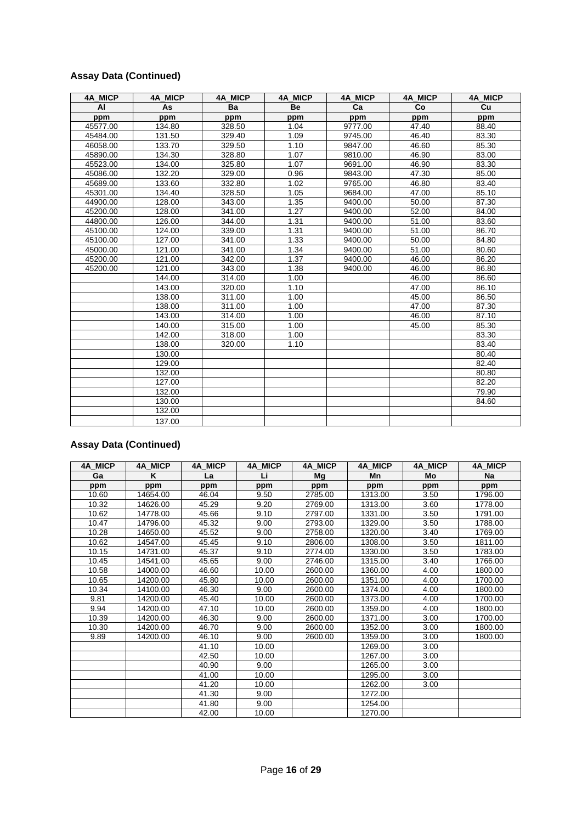## **Assay Data (Continued)**

| <b>4A MICP</b> | 4A MICP | 4A MICP | 4A MICP | 4A MICP | 4A_MICP | 4A MICP |
|----------------|---------|---------|---------|---------|---------|---------|
| AI             | As      | Ba      | Be      | Ca      | Co      | Cu      |
| ppm            | ppm     | ppm     | ppm     | ppm     | ppm     | ppm     |
| 45577.00       | 134.80  | 328.50  | 1.04    | 9777.00 | 47.40   | 88.40   |
| 45484.00       | 131.50  | 329.40  | 1.09    | 9745.00 | 46.40   | 83.30   |
| 46058.00       | 133.70  | 329.50  | 1.10    | 9847.00 | 46.60   | 85.30   |
| 45890.00       | 134.30  | 328.80  | 1.07    | 9810.00 | 46.90   | 83.00   |
| 45523.00       | 134.00  | 325.80  | 1.07    | 9691.00 | 46.90   | 83.30   |
| 45086.00       | 132.20  | 329.00  | 0.96    | 9843.00 | 47.30   | 85.00   |
| 45689.00       | 133.60  | 332.80  | 1.02    | 9765.00 | 46.80   | 83.40   |
| 45301.00       | 134.40  | 328.50  | 1.05    | 9684.00 | 47.00   | 85.10   |
| 44900.00       | 128.00  | 343.00  | 1.35    | 9400.00 | 50.00   | 87.30   |
| 45200.00       | 128.00  | 341.00  | 1.27    | 9400.00 | 52.00   | 84.00   |
| 44800.00       | 126.00  | 344.00  | 1.31    | 9400.00 | 51.00   | 83.60   |
| 45100.00       | 124.00  | 339.00  | 1.31    | 9400.00 | 51.00   | 86.70   |
| 45100.00       | 127.00  | 341.00  | 1.33    | 9400.00 | 50.00   | 84.80   |
| 45000.00       | 121.00  | 341.00  | 1.34    | 9400.00 | 51.00   | 80.60   |
| 45200.00       | 121.00  | 342.00  | 1.37    | 9400.00 | 46.00   | 86.20   |
| 45200.00       | 121.00  | 343.00  | 1.38    | 9400.00 | 46.00   | 86.80   |
|                | 144.00  | 314.00  | 1.00    |         | 46.00   | 86.60   |
|                | 143.00  | 320.00  | 1.10    |         | 47.00   | 86.10   |
|                | 138.00  | 311.00  | 1.00    |         | 45.00   | 86.50   |
|                | 138.00  | 311.00  | 1.00    |         | 47.00   | 87.30   |
|                | 143.00  | 314.00  | 1.00    |         | 46.00   | 87.10   |
|                | 140.00  | 315.00  | 1.00    |         | 45.00   | 85.30   |
|                | 142.00  | 318.00  | 1.00    |         |         | 83.30   |
|                | 138.00  | 320.00  | 1.10    |         |         | 83.40   |
|                | 130.00  |         |         |         |         | 80.40   |
|                | 129.00  |         |         |         |         | 82.40   |
|                | 132.00  |         |         |         |         | 80.80   |
|                | 127.00  |         |         |         |         | 82.20   |
|                | 132.00  |         |         |         |         | 79.90   |
|                | 130.00  |         |         |         |         | 84.60   |
|                | 132.00  |         |         |         |         |         |
|                | 137.00  |         |         |         |         |         |

## **Assay Data (Continued)**

| <b>4A MICP</b> | 4A MICP  | 4A MICP | 4A MICP | 4A MICP | 4A MICP | <b>4A MICP</b> | 4A MICP   |
|----------------|----------|---------|---------|---------|---------|----------------|-----------|
| Ga             | K        | La      | Li      | Mq      | Mn      | Mo             | <b>Na</b> |
| ppm            | ppm      | ppm     | ppm     | ppm     | ppm     | ppm            | ppm       |
| 10.60          | 14654.00 | 46.04   | 9.50    | 2785.00 | 1313.00 | 3.50           | 1796.00   |
| 10.32          | 14626.00 | 45.29   | 9.20    | 2769.00 | 1313.00 | 3.60           | 1778.00   |
| 10.62          | 14778.00 | 45.66   | 9.10    | 2797.00 | 1331.00 | 3.50           | 1791.00   |
| 10.47          | 14796.00 | 45.32   | 9.00    | 2793.00 | 1329.00 | 3.50           | 1788.00   |
| 10.28          | 14650.00 | 45.52   | 9.00    | 2758.00 | 1320.00 | 3.40           | 1769.00   |
| 10.62          | 14547.00 | 45.45   | 9.10    | 2806.00 | 1308.00 | 3.50           | 1811.00   |
| 10.15          | 14731.00 | 45.37   | 9.10    | 2774.00 | 1330.00 | 3.50           | 1783.00   |
| 10.45          | 14541.00 | 45.65   | 9.00    | 2746.00 | 1315.00 | 3.40           | 1766.00   |
| 10.58          | 14000.00 | 46.60   | 10.00   | 2600.00 | 1360.00 | 4.00           | 1800.00   |
| 10.65          | 14200.00 | 45.80   | 10.00   | 2600.00 | 1351.00 | 4.00           | 1700.00   |
| 10.34          | 14100.00 | 46.30   | 9.00    | 2600.00 | 1374.00 | 4.00           | 1800.00   |
| 9.81           | 14200.00 | 45.40   | 10.00   | 2600.00 | 1373.00 | 4.00           | 1700.00   |
| 9.94           | 14200.00 | 47.10   | 10.00   | 2600.00 | 1359.00 | 4.00           | 1800.00   |
| 10.39          | 14200.00 | 46.30   | 9.00    | 2600.00 | 1371.00 | 3.00           | 1700.00   |
| 10.30          | 14200.00 | 46.70   | 9.00    | 2600.00 | 1352.00 | 3.00           | 1800.00   |
| 9.89           | 14200.00 | 46.10   | 9.00    | 2600.00 | 1359.00 | 3.00           | 1800.00   |
|                |          | 41.10   | 10.00   |         | 1269.00 | 3.00           |           |
|                |          | 42.50   | 10.00   |         | 1267.00 | 3.00           |           |
|                |          | 40.90   | 9.00    |         | 1265.00 | 3.00           |           |
|                |          | 41.00   | 10.00   |         | 1295.00 | 3.00           |           |
|                |          | 41.20   | 10.00   |         | 1262.00 | 3.00           |           |
|                |          | 41.30   | 9.00    |         | 1272.00 |                |           |
|                |          | 41.80   | 9.00    |         | 1254.00 |                |           |
|                |          | 42.00   | 10.00   |         | 1270.00 |                |           |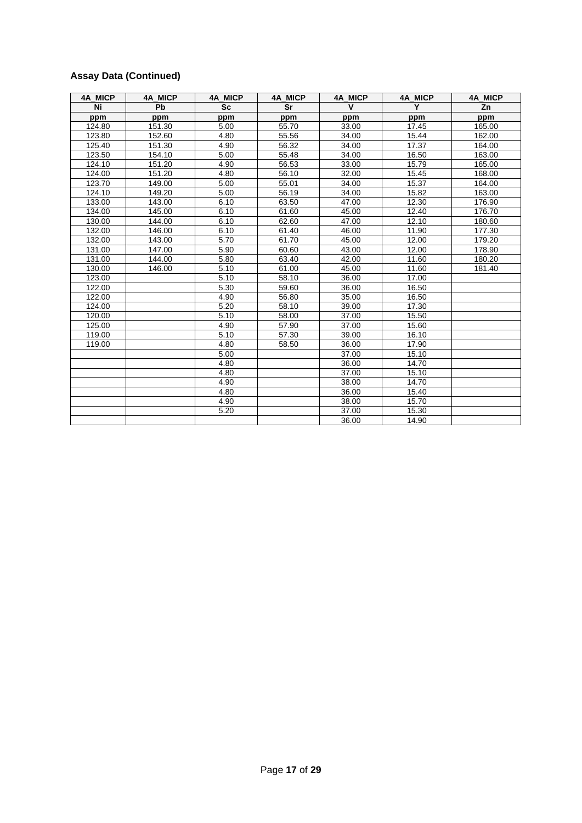## **Assay Data (Continued)**

| 4A MICP | <b>4A MICP</b> | <b>4A MICP</b> | 4A MICP | <b>4A MICP</b> | 4A MICP | 4A MICP |
|---------|----------------|----------------|---------|----------------|---------|---------|
| Ni      | Pb             | <b>Sc</b>      | Sr      | $\mathbf v$    | Y       | Zn      |
| ppm     | ppm            | ppm            | ppm     | ppm            | ppm     | ppm     |
| 124.80  | 151.30         | 5.00           | 55.70   | 33.00          | 17.45   | 165.00  |
| 123.80  | 152.60         | 4.80           | 55.56   | 34.00          | 15.44   | 162.00  |
| 125.40  | 151.30         | 4.90           | 56.32   | 34.00          | 17.37   | 164.00  |
| 123.50  | 154.10         | 5.00           | 55.48   | 34.00          | 16.50   | 163.00  |
| 124.10  | 151.20         | 4.90           | 56.53   | 33.00          | 15.79   | 165.00  |
| 124.00  | 151.20         | 4.80           | 56.10   | 32.00          | 15.45   | 168.00  |
| 123.70  | 149.00         | 5.00           | 55.01   | 34.00          | 15.37   | 164.00  |
| 124.10  | 149.20         | 5.00           | 56.19   | 34.00          | 15.82   | 163.00  |
| 133.00  | 143.00         | 6.10           | 63.50   | 47.00          | 12.30   | 176.90  |
| 134.00  | 145.00         | 6.10           | 61.60   | 45.00          | 12.40   | 176.70  |
| 130.00  | 144.00         | 6.10           | 62.60   | 47.00          | 12.10   | 180.60  |
| 132.00  | 146.00         | 6.10           | 61.40   | 46.00          | 11.90   | 177.30  |
| 132.00  | 143.00         | 5.70           | 61.70   | 45.00          | 12.00   | 179.20  |
| 131.00  | 147.00         | 5.90           | 60.60   | 43.00          | 12.00   | 178.90  |
| 131.00  | 144.00         | 5.80           | 63.40   | 42.00          | 11.60   | 180.20  |
| 130.00  | 146.00         | 5.10           | 61.00   | 45.00          | 11.60   | 181.40  |
| 123.00  |                | 5.10           | 58.10   | 36.00          | 17.00   |         |
| 122.00  |                | 5.30           | 59.60   | 36.00          | 16.50   |         |
| 122.00  |                | 4.90           | 56.80   | 35.00          | 16.50   |         |
| 124.00  |                | 5.20           | 58.10   | 39.00          | 17.30   |         |
| 120.00  |                | 5.10           | 58.00   | 37.00          | 15.50   |         |
| 125.00  |                | 4.90           | 57.90   | 37.00          | 15.60   |         |
| 119.00  |                | 5.10           | 57.30   | 39.00          | 16.10   |         |
| 119.00  |                | 4.80           | 58.50   | 36.00          | 17.90   |         |
|         |                | 5.00           |         | 37.00          | 15.10   |         |
|         |                | 4.80           |         | 36.00          | 14.70   |         |
|         |                | 4.80           |         | 37.00          | 15.10   |         |
|         |                | 4.90           |         | 38.00          | 14.70   |         |
|         |                | 4.80           |         | 36.00          | 15.40   |         |
|         |                | 4.90           |         | 38.00          | 15.70   |         |
|         |                | 5.20           |         | 37.00          | 15.30   |         |
|         |                |                |         | 36.00          | 14.90   |         |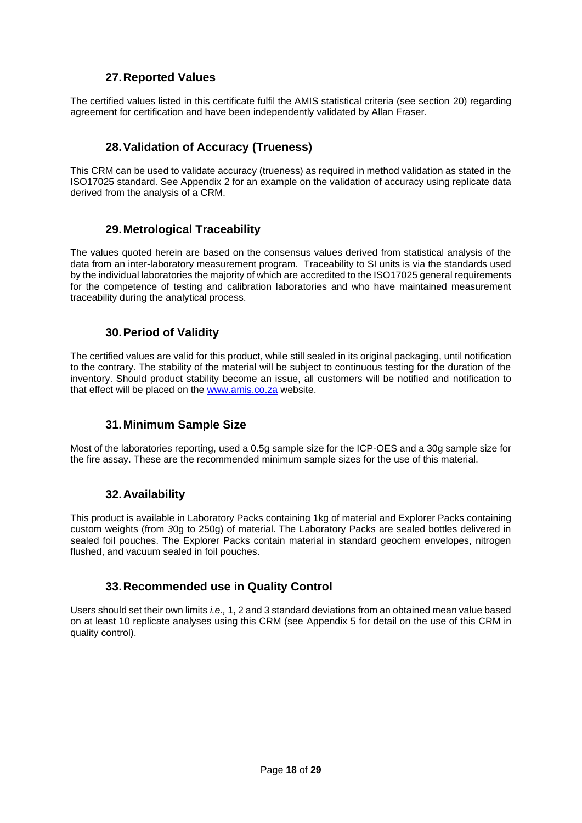## **27.Reported Values**

<span id="page-17-0"></span>The certified values listed in this certificate fulfil the AMIS statistical criteria (see section [20\)](#page-12-1) regarding agreement for certification and have been independently validated by Allan Fraser.

## **28.Validation of Accu**r**acy (Trueness)**

<span id="page-17-1"></span>This CRM can be used to validate accuracy (trueness) as required in method validation as stated in the ISO17025 standard. See [Appendix 2](#page-24-1) for an example on the validation of accuracy using replicate data derived from the analysis of a CRM.

#### **29.Metrological Traceability**

<span id="page-17-2"></span>The values quoted herein are based on the consensus values derived from statistical analysis of the data from an inter-laboratory measurement program. Traceability to SI units is via the standards used by the individual laboratories the majority of which are accredited to the ISO17025 general requirements for the competence of testing and calibration laboratories and who have maintained measurement traceability during the analytical process.

#### **30.Period of Validity**

<span id="page-17-3"></span>The certified values are valid for this product, while still sealed in its original packaging, until notification to the contrary. The stability of the material will be subject to continuous testing for the duration of the inventory. Should product stability become an issue, all customers will be notified and notification to that effect will be placed on the [www.amis.co.za](http://www.amis.co.za/) website.

#### **31.Minimum Sample Size**

<span id="page-17-4"></span>Most of the laboratories reporting, used a 0.5g sample size for the ICP-OES and a 30g sample size for the fire assay. These are the recommended minimum sample sizes for the use of this material.

#### **32.Availability**

<span id="page-17-5"></span>This product is available in Laboratory Packs containing 1kg of material and Explorer Packs containing custom weights (from *3*0g to 250g) of material. The Laboratory Packs are sealed bottles delivered in sealed foil pouches. The Explorer Packs contain material in standard geochem envelopes, nitrogen flushed, and vacuum sealed in foil pouches.

#### **33.Recommended use in Quality Control**

<span id="page-17-6"></span>Users should set their own limits *i.e.,* 1, 2 and 3 standard deviations from an obtained mean value based on at least 10 replicate analyses using this CRM (see [Appendix 5](#page-25-2) for detail on the use of this CRM in quality control).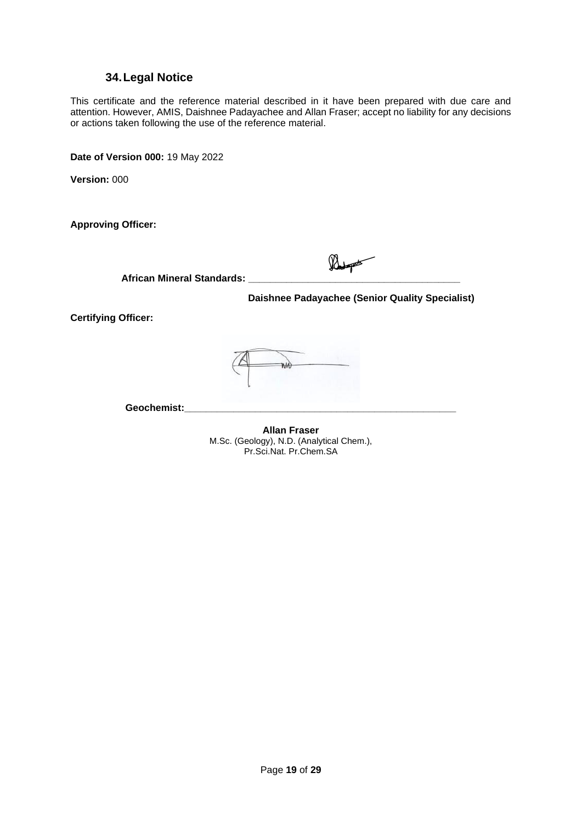#### **34.Legal Notice**

<span id="page-18-0"></span>This certificate and the reference material described in it have been prepared with due care and attention. However, AMIS, Daishnee Padayachee and Allan Fraser; accept no liability for any decisions or actions taken following the use of the reference material.

**Date of Version 000:** 19 May 2022

**Version:** 000

**Approving Officer:** 

Roset **African Mineral Standards: \_\_\_\_\_\_\_\_\_\_\_\_\_\_\_\_\_\_\_\_\_\_\_\_\_\_\_\_\_\_\_\_\_\_\_\_\_\_\_**

 **Daishnee Padayachee (Senior Quality Specialist)**

**Certifying Officer:** 

**MA** 

**Geochemist:\_\_\_\_\_\_\_\_\_\_\_\_\_\_\_\_\_\_\_\_\_\_\_\_\_\_\_\_\_\_\_\_\_\_\_\_\_\_\_\_\_\_\_\_\_\_\_\_\_\_**

**Allan Fraser** M.Sc. (Geology), N.D. (Analytical Chem.), Pr.Sci.Nat. Pr.Chem.SA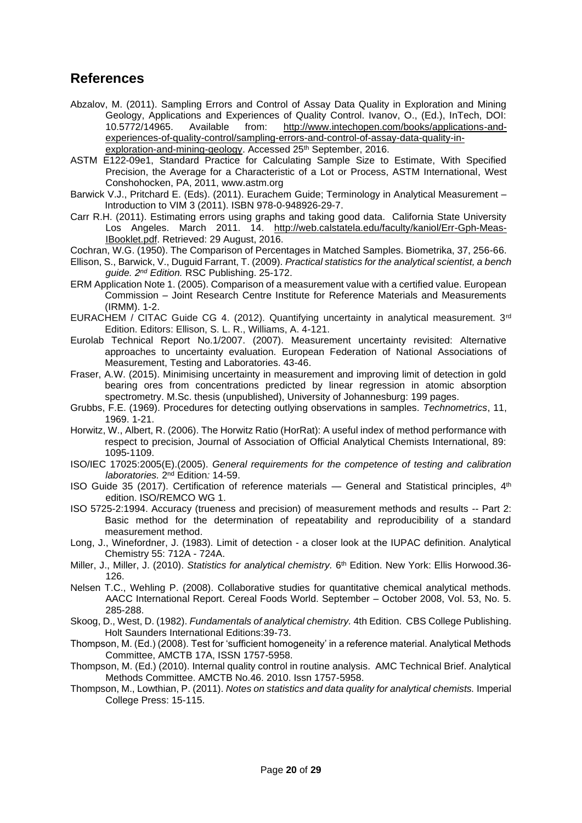## <span id="page-19-0"></span>**References**

- Abzalov, M. (2011). Sampling Errors and Control of Assay Data Quality in Exploration and Mining Geology, Applications and Experiences of Quality Control. Ivanov, O., (Ed.), InTech, DOI: 10.5772/14965. Available from: [http://www.intechopen.com/books/applications-and](http://www.intechopen.com/books/applications-and-experiences-of-quality-control/sampling-errors-and-control-of-assay-data-quality-in-exploration-and-mining-geology)[experiences-of-quality-control/sampling-errors-and-control-of-assay-data-quality-in](http://www.intechopen.com/books/applications-and-experiences-of-quality-control/sampling-errors-and-control-of-assay-data-quality-in-exploration-and-mining-geology)[exploration-and-mining-geology.](http://www.intechopen.com/books/applications-and-experiences-of-quality-control/sampling-errors-and-control-of-assay-data-quality-in-exploration-and-mining-geology) Accessed 25<sup>th</sup> September, 2016.
- ASTM E122-09e1, Standard Practice for Calculating Sample Size to Estimate, With Specified Precision, the Average for a Characteristic of a Lot or Process, ASTM International, West Conshohocken, PA, 2011, www.astm.org
- Barwick V.J., Pritchard E. (Eds). (2011). Eurachem Guide; Terminology in Analytical Measurement Introduction to VIM 3 (2011). ISBN 978-0-948926-29-7.
- Carr R.H. (2011). Estimating errors using graphs and taking good data. California State University Los Angeles. March 2011. 14. [http://web.calstatela.edu/faculty/kaniol/Err-Gph-Meas-](http://web.calstatela.edu/faculty/kaniol/Err-Gph-Meas-IBooklet.pdf)[IBooklet.pdf.](http://web.calstatela.edu/faculty/kaniol/Err-Gph-Meas-IBooklet.pdf) Retrieved: 29 August, 2016.
- Cochran, W.G. (1950). The Comparison of Percentages in Matched Samples. Biometrika, 37, 256-66.
- Ellison, S., Barwick, V., Duguid Farrant, T. (2009). *Practical statistics for the analytical scientist, a bench guide. 2nd Edition.* RSC Publishing. 25-172.
- ERM Application Note 1. (2005). Comparison of a measurement value with a certified value. European Commission – Joint Research Centre Institute for Reference Materials and Measurements (IRMM). 1-2.
- EURACHEM / CITAC Guide CG 4, (2012). Quantifying uncertainty in analytical measurement.  $3<sup>rd</sup>$ Edition. Editors: Ellison, S. L. R., Williams, A. 4-121.
- Eurolab Technical Report No.1/2007. (2007). Measurement uncertainty revisited: Alternative approaches to uncertainty evaluation. European Federation of National Associations of Measurement, Testing and Laboratories. 43-46.
- Fraser, A.W. (2015). Minimising uncertainty in measurement and improving limit of detection in gold bearing ores from concentrations predicted by linear regression in atomic absorption spectrometry. M.Sc. thesis (unpublished), University of Johannesburg: 199 pages.
- Grubbs, F.E. (1969). Procedures for detecting outlying observations in samples. *Technometrics*, 11, 1969. 1-21.
- Horwitz, W., Albert, R. (2006). The Horwitz Ratio (HorRat): A useful index of method performance with respect to precision, Journal of Association of Official Analytical Chemists International, 89: 1095-1109.
- ISO/IEC 17025:2005(E).(2005). *General requirements for the competence of testing and calibration laboratories.* 2<sup>nd</sup> Edition: 14-59.
- ISO Guide 35 (2017). Certification of reference materials General and Statistical principles,  $4<sup>th</sup>$ edition. ISO/REMCO WG 1.
- ISO 5725-2:1994. Accuracy (trueness and precision) of measurement methods and results -- Part 2: Basic method for the determination of repeatability and reproducibility of a standard measurement method.
- Long, J., Winefordner, J. (1983). Limit of detection a closer look at the IUPAC definition. Analytical Chemistry 55: 712A - 724A.
- Miller, J., Miller, J. (2010). *Statistics for analytical chemistry.* 6<sup>th</sup> Edition. New York: Ellis Horwood.36-126.
- Nelsen T.C., Wehling P. (2008). Collaborative studies for quantitative chemical analytical methods. AACC International Report. Cereal Foods World. September – October 2008, Vol. 53, No. 5. 285-288.
- Skoog, D., West, D. (1982). *Fundamentals of analytical chemistry.* 4th Edition. CBS College Publishing. Holt Saunders International Editions:39-73.
- Thompson, M. (Ed.) (2008). Test for 'sufficient homogeneity' in a reference material. Analytical Methods Committee, AMCTB 17A, ISSN 1757*-*5958.
- Thompson, M. (Ed.) (2010). Internal quality control in routine analysis. AMC Technical Brief. Analytical Methods Committee. AMCTB No.46. 2010. Issn 1757-5958.
- Thompson, M., Lowthian, P. (2011). *Notes on statistics and data quality for analytical chemists.* Imperial College Press: 15-115.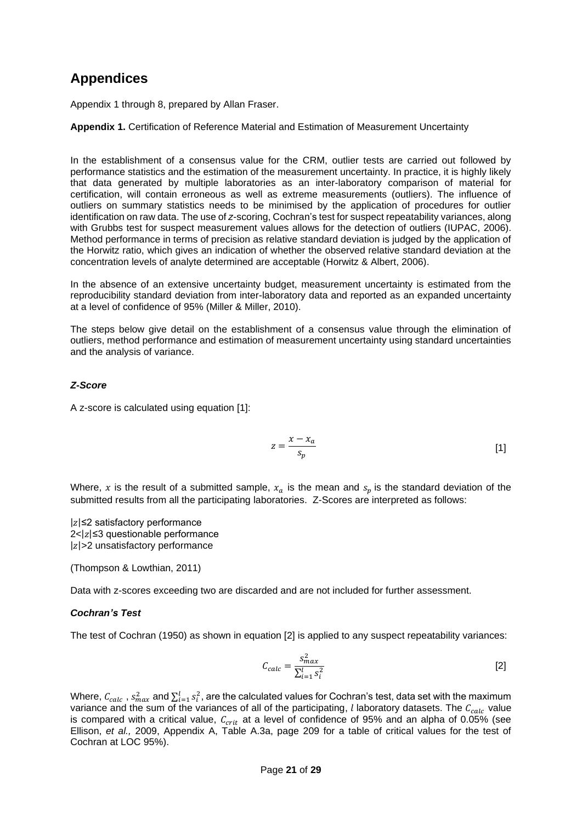# <span id="page-20-0"></span>**Appendices**

Appendix 1 through 8, prepared by Allan Fraser.

#### <span id="page-20-1"></span>**Appendix 1.** Certification of Reference Material and Estimation of Measurement Uncertainty

In the establishment of a consensus value for the CRM, outlier tests are carried out followed by performance statistics and the estimation of the measurement uncertainty. In practice, it is highly likely that data generated by multiple laboratories as an inter-laboratory comparison of material for certification, will contain erroneous as well as extreme measurements (outliers). The influence of outliers on summary statistics needs to be minimised by the application of procedures for outlier identification on raw data. The use of *z*-scoring, Cochran's test for suspect repeatability variances, along with Grubbs test for suspect measurement values allows for the detection of outliers (IUPAC, 2006). Method performance in terms of precision as relative standard deviation is judged by the application of the Horwitz ratio, which gives an indication of whether the observed relative standard deviation at the concentration levels of analyte determined are acceptable (Horwitz & Albert, 2006).

In the absence of an extensive uncertainty budget, measurement uncertainty is estimated from the reproducibility standard deviation from inter-laboratory data and reported as an expanded uncertainty at a level of confidence of 95% (Miller & Miller, 2010).

The steps below give detail on the establishment of a consensus value through the elimination of outliers, method performance and estimation of measurement uncertainty using standard uncertainties and the analysis of variance.

#### *Z-Score*

A z-score is calculated using equation [1]:

$$
z = \frac{x - x_a}{s_p} \tag{1}
$$

Where, x is the result of a submitted sample,  $x_a$  is the mean and  $s_p$  is the standard deviation of the submitted results from all the participating laboratories. Z-Scores are interpreted as follows:

 $|z|$  ≤2 satisfactory performance  $2 < |z| \leq 3$  questionable performance  $|z|$ >2 unsatisfactory performance

(Thompson & Lowthian, 2011)

Data with z-scores exceeding two are discarded and are not included for further assessment.

#### *Cochran's Test*

The test of Cochran (1950) as shown in equation [2] is applied to any suspect repeatability variances:

$$
C_{calc} = \frac{S_{max}^2}{\sum_{i=1}^l S_i^2}
$$
 [2]

Where,  $\mathcal{C}_{calc}$  ,  $\varsigma^2_{max}$  and  $\sum_{i=1}^l s_i^2$ , are the calculated values for Cochran's test, data set with the maximum variance and the sum of the variances of all of the participating,  $l$  laboratory datasets. The  $C_{calc}$  value is compared with a critical value,  $C_{crit}$  at a level of confidence of 95% and an alpha of 0.05% (see Ellison, *et al.,* 2009, Appendix A, Table A.3a, page 209 for a table of critical values for the test of Cochran at LOC 95%).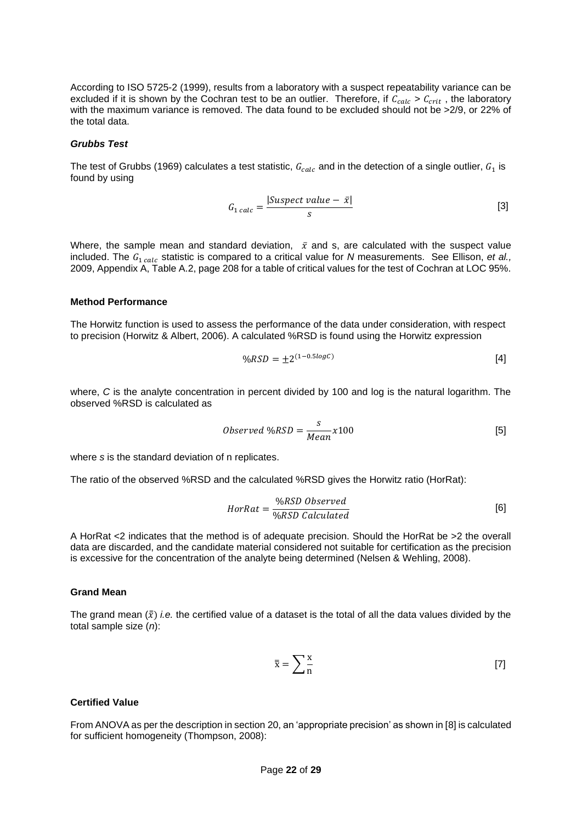According to ISO 5725-2 (1999), results from a laboratory with a suspect repeatability variance can be excluded if it is shown by the Cochran test to be an outlier. Therefore, if  $C_{calc} > C_{crit}$ , the laboratory with the maximum variance is removed. The data found to be excluded should not be >2/9, or 22% of the total data.

#### *Grubbs Test*

The test of Grubbs (1969) calculates a test statistic,  $G_{calc}$  and in the detection of a single outlier,  $G_1$  is found by using

$$
G_{1\,calc} = \frac{|Suspect\ value - \bar{x}|}{s} \tag{3}
$$

Where, the sample mean and standard deviation,  $\bar{x}$  and s, are calculated with the suspect value included. The  $G_1_{calc}$  statistic is compared to a critical value for *N* measurements. See Ellison, *et al.*, 2009, Appendix A, Table A.2, page 208 for a table of critical values for the test of Cochran at LOC 95%.

#### **Method Performance**

The Horwitz function is used to assess the performance of the data under consideration, with respect to precision (Horwitz & Albert, 2006). A calculated %RSD is found using the Horwitz expression

$$
\%RSD = \pm 2^{(1-0.5\log C)} \tag{4}
$$

where, *C* is the analyte concentration in percent divided by 100 and log is the natural logarithm. The observed %RSD is calculated as

$$
Observed\ \%RSD = \frac{s}{Mean}x100\tag{5}
$$

where *s* is the standard deviation of n replicates.

The ratio of the observed %RSD and the calculated %RSD gives the Horwitz ratio (HorRat):

$$
HorRat = \frac{\%RSD \ Observed}{\%RSD \ Calculated}
$$
 [6]

A HorRat <2 indicates that the method is of adequate precision. Should the HorRat be >2 the overall data are discarded, and the candidate material considered not suitable for certification as the precision is excessive for the concentration of the analyte being determined (Nelsen & Wehling, 2008).

#### **Grand Mean**

The grand mean  $(\bar{x})$  *i.e.* the certified value of a dataset is the total of all the data values divided by the total sample size (*n*):

$$
\bar{\overline{x}} = \sum_{n=1}^{\infty} \overline{z} \tag{7}
$$

#### **Certified Value**

From ANOVA as per the description in section [20,](#page-12-1) an 'appropriate precision' as shown in [8] is calculated for sufficient homogeneity (Thompson, 2008):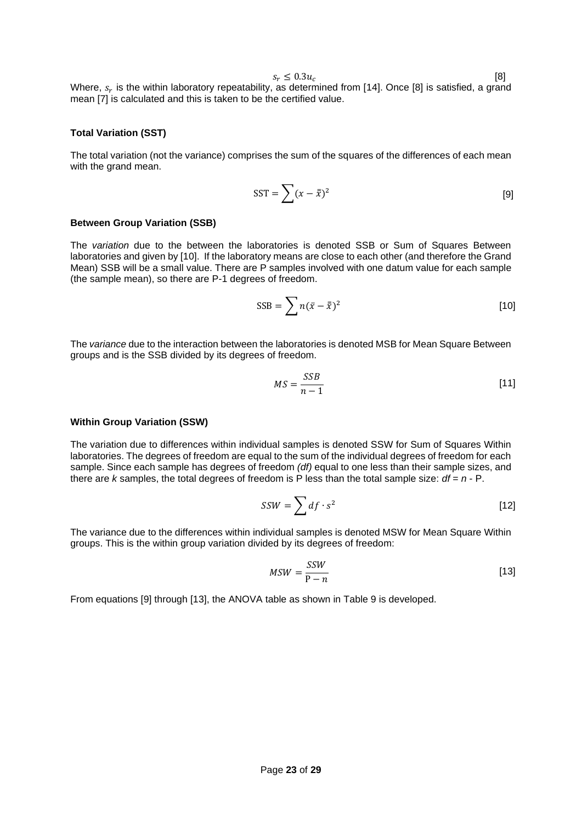$s_r \leq 0.3 u_c$ [8]

Where,  $s_r$  is the within laboratory repeatability, as determined from [14]. Once [8] is satisfied, a grand mean [7] is calculated and this is taken to be the certified value.

#### **Total Variation (SST)**

The total variation (not the variance) comprises the sum of the squares of the differences of each mean with the grand mean.

$$
SST = \sum (x - \bar{\bar{x}})^2
$$
 [9]

#### **Between Group Variation (SSB)**

The *variation* due to the between the laboratories is denoted SSB or Sum of Squares Between laboratories and given by [10]. If the laboratory means are close to each other (and therefore the Grand Mean) SSB will be a small value. There are P samples involved with one datum value for each sample (the sample mean), so there are P-1 degrees of freedom.

$$
SSB = \sum n(\bar{x} - \bar{\bar{x}})^2
$$
 [10]

The *variance* due to the interaction between the laboratories is denoted MSB for Mean Square Between groups and is the SSB divided by its degrees of freedom.

$$
MS = \frac{SSB}{n-1} \tag{11}
$$

#### **Within Group Variation (SSW)**

The variation due to differences within individual samples is denoted SSW for Sum of Squares Within laboratories. The degrees of freedom are equal to the sum of the individual degrees of freedom for each sample. Since each sample has degrees of freedom *(df)* equal to one less than their sample sizes, and there are *k* samples, the total degrees of freedom is P less than the total sample size: *df* = *n* - P.

$$
SSW = \sum df \cdot s^2 \tag{12}
$$

The variance due to the differences within individual samples is denoted MSW for Mean Square Within groups. This is the within group variation divided by its degrees of freedom:

$$
MSW = \frac{SSW}{P - n} \tag{13}
$$

From equations [9] through [13], the ANOVA table as shown in [Table 9](#page-23-0) is developed.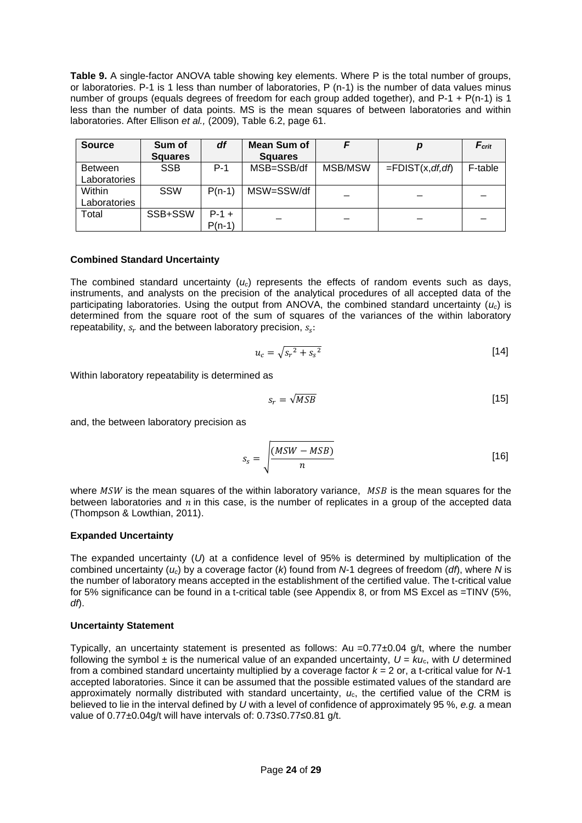<span id="page-23-0"></span>**Table 9.** A single-factor ANOVA table showing key elements. Where P is the total number of groups, or laboratories. P-1 is 1 less than number of laboratories, P (n-1) is the number of data values minus number of groups (equals degrees of freedom for each group added together), and P-1 + P(n-1) is 1 less than the number of data points. MS is the mean squares of between laboratories and within laboratories. After Ellison *et al.,* (2009), Table 6.2, page 61.

| <b>Source</b>                  | Sum of<br><b>Squares</b> | df                  | Mean Sum of<br><b>Squares</b> |         | р                       | $F_{\text{crit}}$ |
|--------------------------------|--------------------------|---------------------|-------------------------------|---------|-------------------------|-------------------|
| <b>Between</b><br>Laboratories | <b>SSB</b>               | $P-1$               | MSB=SSB/df                    | MSB/MSW | $=$ FDIST $(x, df, df)$ | F-table           |
| Within<br>Laboratories         | <b>SSW</b>               | $P(n-1)$            | MSW=SSW/df                    |         |                         |                   |
| Total                          | SSB+SSW                  | $P-1 +$<br>$P(n-1)$ |                               |         |                         |                   |

#### **Combined Standard Uncertainty**

The combined standard uncertainty  $(u_c)$  represents the effects of random events such as days, instruments, and analysts on the precision of the analytical procedures of all accepted data of the participating laboratories. Using the output from ANOVA, the combined standard uncertainty  $(u_c)$  is determined from the square root of the sum of squares of the variances of the within laboratory repeatability,  $s_r$  and the between laboratory precision,  $s_s$ :

$$
u_c = \sqrt{s_r^2 + s_s^2} \tag{14}
$$

Within laboratory repeatability is determined as

$$
s_r = \sqrt{MSB} \tag{15}
$$

and, the between laboratory precision as

$$
s_s = \sqrt{\frac{(MSW - MSB)}{n}}
$$
 [16]

where  $MSW$  is the mean squares of the within laboratory variance,  $MSB$  is the mean squares for the between laboratories and  $n$  in this case, is the number of replicates in a group of the accepted data (Thompson & Lowthian, 2011).

#### **Expanded Uncertainty**

The expanded uncertainty (*U*) at a confidence level of 95% is determined by multiplication of the combined uncertainty (*uc*) by a coverage factor (*k*) found from *N*-1 degrees of freedom (*df*), where *N* is the number of laboratory means accepted in the establishment of the certified value. The t-critical value for 5% significance can be found in a t-critical table (see [Appendix 8,](#page-28-2) or from MS Excel as =TINV (5%, *df*).

#### **Uncertainty Statement**

Typically, an uncertainty statement is presented as follows: Au =0.77±0.04 g/t, where the number following the symbol  $\pm$  is the numerical value of an expanded uncertainty,  $U = Ku_c$ , with *U* determined from a combined standard uncertainty multiplied by a coverage factor *k* = 2 or, a t-critical value for *N*-1 accepted laboratories. Since it can be assumed that the possible estimated values of the standard are approximately normally distributed with standard uncertainty, *u*c, the certified value of the CRM is believed to lie in the interval defined by *U* with a level of confidence of approximately 95 %, *e.g.* a mean value of 0.77±0.04g/t will have intervals of: 0.73≤0.77≤0.81 g/t.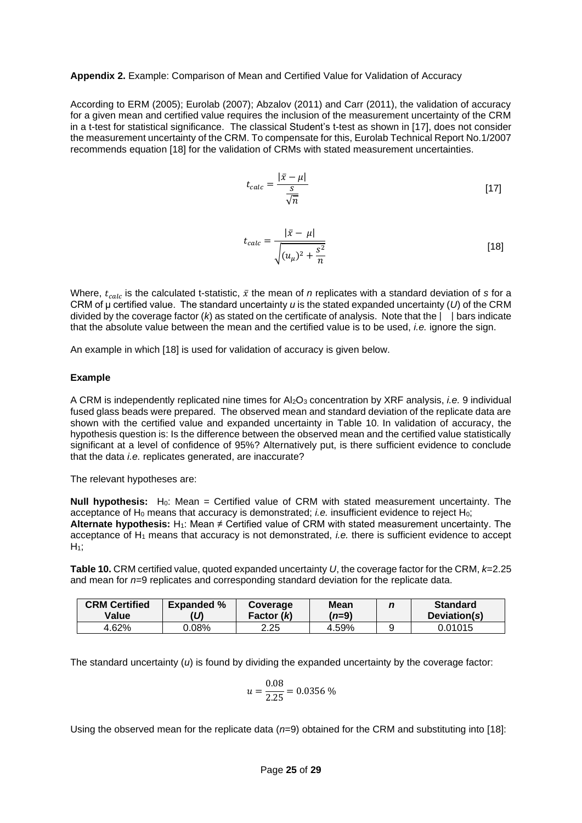#### <span id="page-24-1"></span>**Appendix 2.** Example: Comparison of Mean and Certified Value for Validation of Accuracy

According to ERM (2005); Eurolab (2007); Abzalov (2011) and Carr (2011), the validation of accuracy for a given mean and certified value requires the inclusion of the measurement uncertainty of the CRM in a t-test for statistical significance. The classical Student's t-test as shown in [17], does not consider the measurement uncertainty of the CRM. To compensate for this, Eurolab Technical Report No.1/2007 recommends equation [18] for the validation of CRMs with stated measurement uncertainties.

$$
t_{calc} = \frac{|\bar{x} - \mu|}{\frac{S}{\sqrt{n}}}
$$
 [17]

$$
t_{calc} = \frac{|\bar{x} - \mu|}{\sqrt{(u_{\mu})^2 + \frac{s^2}{n}}}
$$
 [18]

Where,  $t_{calc}$  is the calculated t-statistic,  $\bar{x}$  the mean of *n* replicates with a standard deviation of *s* for a CRM of μ certified value. The standard uncertainty *u* is the stated expanded uncertainty (*U*) of the CRM divided by the coverage factor ( $k$ ) as stated on the certificate of analysis. Note that the  $|\cdot|$  bars indicate that the absolute value between the mean and the certified value is to be used, *i.e.* ignore the sign.

An example in which [18] is used for validation of accuracy is given below.

#### **Example**

A CRM is independently replicated nine times for Al2O<sup>3</sup> concentration by XRF analysis, *i.e.* 9 individual fused glass beads were prepared. The observed mean and standard deviation of the replicate data are shown with the certified value and expanded uncertainty in [Table 10](#page-24-0). In validation of accuracy, the hypothesis question is: Is the difference between the observed mean and the certified value statistically significant at a level of confidence of 95%? Alternatively put, is there sufficient evidence to conclude that the data *i.e.* replicates generated, are inaccurate?

The relevant hypotheses are:

**Null hypothesis:** H<sub>0</sub>: Mean = Certified value of CRM with stated measurement uncertainty. The acceptance of H<sub>0</sub> means that accuracy is demonstrated; *i.e.* insufficient evidence to reject H<sub>0</sub>; **Alternate hypothesis:** H<sub>1</sub>: Mean  $\neq$  Certified value of CRM with stated measurement uncertainty. The acceptance of H<sup>1</sup> means that accuracy is not demonstrated, *i.e.* there is sufficient evidence to accept  $H_1$ ;

<span id="page-24-0"></span>**Table 10.** CRM certified value, quoted expanded uncertainty *U*, the coverage factor for the CRM, *k*=2.25 and mean for *n*=9 replicates and corresponding standard deviation for the replicate data.

| <b>CRM Certified</b><br>Value | <b>Expanded %</b> | Coverage<br>Factor (k) | <b>Mean</b><br>( <i>n</i> =9) | <b>Standard</b><br>Deviation(s) |
|-------------------------------|-------------------|------------------------|-------------------------------|---------------------------------|
| 4.62%                         | 0.08%             | 2.25                   | 4.59%                         | 0.01015                         |

The standard uncertainty (*u*) is found by dividing the expanded uncertainty by the coverage factor:

$$
u = \frac{0.08}{2.25} = 0.0356\,\%
$$

Using the observed mean for the replicate data (*n*=9) obtained for the CRM and substituting into [18]: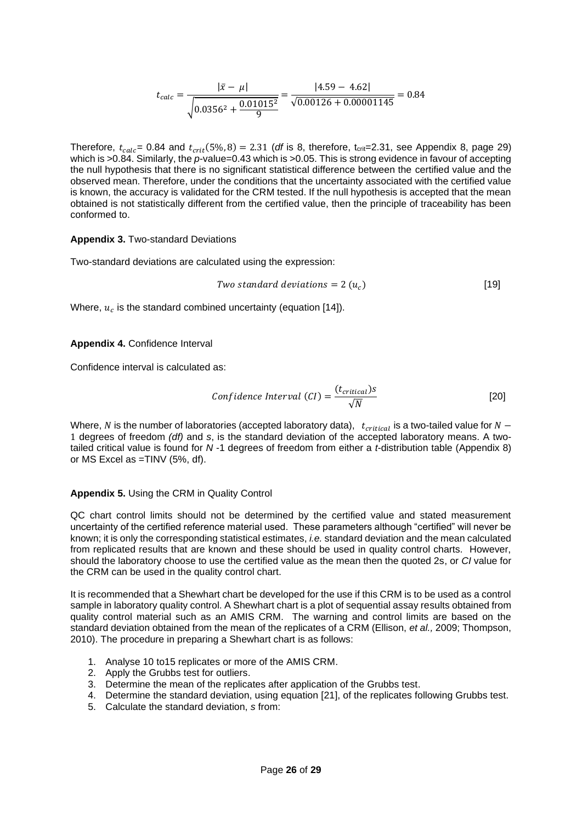$$
t_{calc} = \frac{|\bar{x} - \mu|}{\sqrt{0.0356^2 + \frac{0.01015^2}{9}}} = \frac{|4.59 - 4.62|}{\sqrt{0.00126 + 0.00001145}} = 0.84
$$

Therefore,  $t_{calc}$  = 0.84 and  $t_{crit}$  (5%, 8) = 2.31 (*df* is 8, therefore,  $t_{crit}$  = 2.31, see [Appendix 8,](#page-28-2) page [29\)](#page-28-2) which is >0.84. Similarly, the *p*-value=0.43 which is >0.05. This is strong evidence in favour of accepting the null hypothesis that there is no significant statistical difference between the certified value and the observed mean. Therefore, under the conditions that the uncertainty associated with the certified value is known, the accuracy is validated for the CRM tested. If the null hypothesis is accepted that the mean obtained is not statistically different from the certified value, then the principle of traceability has been conformed to.

#### <span id="page-25-0"></span>**Appendix 3.** Two-standard Deviations

Two-standard deviations are calculated using the expression:

Two standard deviations = 
$$
2(u_c)
$$
 [19]

Where,  $u_c$  is the standard combined uncertainty (equation [14]).

#### <span id="page-25-1"></span>**Appendix 4.** Confidence Interval

Confidence interval is calculated as:

Confidence Interval (CI) = 
$$
\frac{(t_{critical})s}{\sqrt{N}}
$$
 [20]

Where, N is the number of laboratories (accepted laboratory data),  $t_{critical}$  is a two-tailed value for  $N-$ 1 degrees of freedom *(df)* and *s*, is the standard deviation of the accepted laboratory means. A twotailed critical value is found for *N* -1 degrees of freedom from either a *t*-distribution table [\(Appendix 8\)](#page-28-2) or MS Excel as =TINV (5%, df).

#### <span id="page-25-2"></span>**Appendix 5.** Using the CRM in Quality Control

QC chart control limits should not be determined by the certified value and stated measurement uncertainty of the certified reference material used. These parameters although "certified" will never be known; it is only the corresponding statistical estimates, *i.e.* standard deviation and the mean calculated from replicated results that are known and these should be used in quality control charts. However, should the laboratory choose to use the certified value as the mean then the quoted 2s, or *CI* value for the CRM can be used in the quality control chart.

It is recommended that a Shewhart chart be developed for the use if this CRM is to be used as a control sample in laboratory quality control. A Shewhart chart is a plot of sequential assay results obtained from quality control material such as an AMIS CRM. The warning and control limits are based on the standard deviation obtained from the mean of the replicates of a CRM (Ellison, *et al.,* 2009; Thompson, 2010). The procedure in preparing a Shewhart chart is as follows:

- 1. Analyse 10 to15 replicates or more of the AMIS CRM.
- 2. Apply the Grubbs test for outliers.
- 3. Determine the mean of the replicates after application of the Grubbs test.
- 4. Determine the standard deviation, using equation [21], of the replicates following Grubbs test.
- 5. Calculate the standard deviation, *s* from: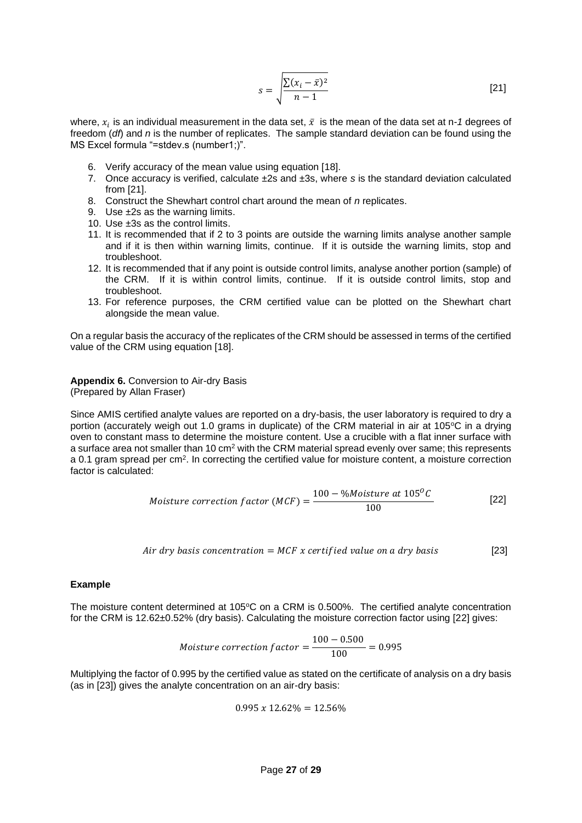$$
s = \sqrt{\frac{\sum (x_i - \bar{x})^2}{n - 1}}
$$
 [21]

where,  $x_i$  is an individual measurement in the data set,  $\bar{x}\;$  is the mean of the data set at n-1 degrees of freedom (*df*) and *n* is the number of replicates. The sample standard deviation can be found using the MS Excel formula "=stdev.s (number1;)".

- 6. Verify accuracy of the mean value using equation [18].
- 7. Once accuracy is verified, calculate ±2s and ±3s, where *s* is the standard deviation calculated from [21].
- 8. Construct the Shewhart control chart around the mean of *n* replicates.
- 9. Use ±2s as the warning limits.
- 10. Use ±3s as the control limits.
- 11. It is recommended that if 2 to 3 points are outside the warning limits analyse another sample and if it is then within warning limits, continue. If it is outside the warning limits, stop and troubleshoot.
- 12. It is recommended that if any point is outside control limits, analyse another portion (sample) of the CRM. If it is within control limits, continue. If it is outside control limits, stop and troubleshoot.
- 13. For reference purposes, the CRM certified value can be plotted on the Shewhart chart alongside the mean value.

On a regular basis the accuracy of the replicates of the CRM should be assessed in terms of the certified value of the CRM using equation [18].

<span id="page-26-0"></span>**Appendix 6.** Conversion to Air-dry Basis (Prepared by Allan Fraser)

Since AMIS certified analyte values are reported on a dry-basis, the user laboratory is required to dry a portion (accurately weigh out 1.0 grams in duplicate) of the CRM material in air at 105°C in a drying oven to constant mass to determine the moisture content. Use a crucible with a flat inner surface with a surface area not smaller than 10 cm<sup>2</sup> with the CRM material spread evenly over same; this represents a 0.1 gram spread per cm<sup>2</sup>. In correcting the certified value for moisture content, a moisture correction factor is calculated:

$$
Moisture\ correction\ factor\ (MCF) = \frac{100 - %Moisture\ at\ 105^{\circ}C}{100}
$$
 [22]

$$
Air dry basis concentration = MCF x certified value on a dry basis
$$
 [23]

#### **Example**

The moisture content determined at 105°C on a CRM is 0.500%. The certified analyte concentration for the CRM is 12.62±0.52% (dry basis). Calculating the moisture correction factor using [22] gives:

$$
Moisture\ correction\ factor = \frac{100 - 0.500}{100} = 0.995
$$

Multiplying the factor of 0.995 by the certified value as stated on the certificate of analysis on a dry basis (as in [23]) gives the analyte concentration on an air-dry basis:

$$
0.995\ x\ 12.62\% = 12.56\%
$$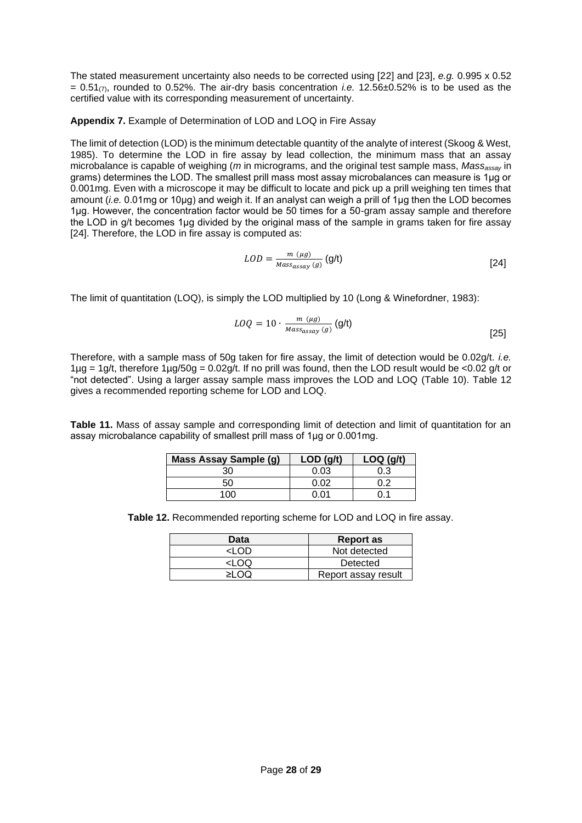The stated measurement uncertainty also needs to be corrected using [22] and [23], *e.g.* 0.995 x 0.52  $= 0.51<sub>(7)</sub>$ , rounded to 0.52%. The air-dry basis concentration *i.e.* 12.56 $\pm$ 0.52% is to be used as the certified value with its corresponding measurement of uncertainty.

<span id="page-27-2"></span>**Appendix 7.** Example of Determination of LOD and LOQ in Fire Assay

The limit of detection (LOD) is the minimum detectable quantity of the analyte of interest (Skoog & West, 1985). To determine the LOD in fire assay by lead collection, the minimum mass that an assay microbalance is capable of weighing (*m* in micrograms, and the original test sample mass, *Massassay* in grams) determines the LOD. The smallest prill mass most assay microbalances can measure is 1μg or 0.001mg. Even with a microscope it may be difficult to locate and pick up a prill weighing ten times that amount (*i.e.* 0.01mg or 10μg) and weigh it. If an analyst can weigh a prill of 1μg then the LOD becomes 1μg. However, the concentration factor would be 50 times for a 50-gram assay sample and therefore the LOD in g/t becomes 1μg divided by the original mass of the sample in grams taken for fire assay [24]. Therefore, the LOD in fire assay is computed as:

$$
LOD = \frac{m(\mu g)}{Mass_{assay}(g)} (g/t)
$$
 [24]

The limit of quantitation (LOQ), is simply the LOD multiplied by 10 (Long & Winefordner, 1983):

$$
LOQ = 10 \cdot \frac{m(\mu g)}{Mass_{assay}(g)} (g/t)
$$
 [25]

Therefore, with a sample mass of 50g taken for fire assay, the limit of detection would be 0.02g/t. *i.e.*  $1\mu$ g = 1g/t, therefore  $1\mu$ g/50g = 0.02g/t. If no prill was found, then the LOD result would be <0.02 g/t or "not detected". Using a larger assay sample mass improves the LOD and LOQ [\(Table 10\)](#page-24-0). [Table 12](#page-27-1) gives a recommended reporting scheme for LOD and LOQ.

<span id="page-27-0"></span>**Table 11.** Mass of assay sample and corresponding limit of detection and limit of quantitation for an assay microbalance capability of smallest prill mass of 1μg or 0.001mg.

| <b>Mass Assay Sample (g)</b> | LOD(q/t) | $LOQ$ (g/t) |
|------------------------------|----------|-------------|
| 30                           | 0.03     | 0.3         |
| 50                           | ስ ሰን     |             |
| חחו                          | በ በ1     |             |

<span id="page-27-1"></span>**Table 12.** Recommended reporting scheme for LOD and LOQ in fire assay.

| Data  | <b>Report as</b>    |
|-------|---------------------|
| חח ו۔ | Not detected        |
| <1 OQ | Detected            |
|       | Report assay result |